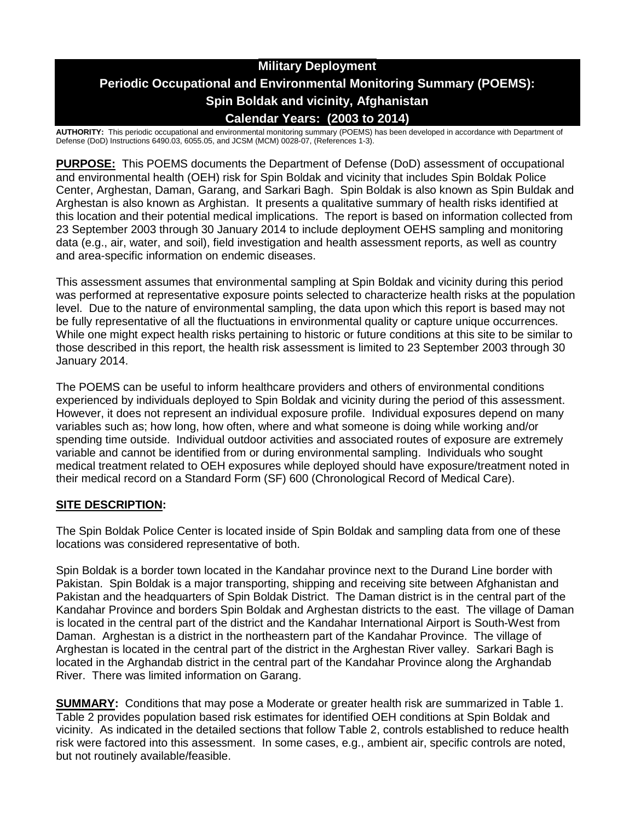# **Military Deployment Periodic Occupational and Environmental Monitoring Summary (POEMS): Spin Boldak and vicinity, Afghanistan Calendar Years: (2003 to 2014)**

**AUTHORITY:** This periodic occupational and environmental monitoring summary (POEMS) has been developed in accordance with Department of Defense (DoD) Instructions 6490.03, 6055.05, and JCSM (MCM) 0028-07, (References 1-3).

**PURPOSE:** This POEMS documents the Department of Defense (DoD) assessment of occupational and environmental health (OEH) risk for Spin Boldak and vicinity that includes Spin Boldak Police Center, Arghestan, Daman, Garang, and Sarkari Bagh. Spin Boldak is also known as Spin Buldak and Arghestan is also known as Arghistan. It presents a qualitative summary of health risks identified at this location and their potential medical implications. The report is based on information collected from 23 September 2003 through 30 January 2014 to include deployment OEHS sampling and monitoring data (e.g., air, water, and soil), field investigation and health assessment reports, as well as country and area-specific information on endemic diseases.

This assessment assumes that environmental sampling at Spin Boldak and vicinity during this period was performed at representative exposure points selected to characterize health risks at the population level. Due to the nature of environmental sampling, the data upon which this report is based may not be fully representative of all the fluctuations in environmental quality or capture unique occurrences. While one might expect health risks pertaining to historic or future conditions at this site to be similar to those described in this report, the health risk assessment is limited to 23 September 2003 through 30 January 2014.

The POEMS can be useful to inform healthcare providers and others of environmental conditions experienced by individuals deployed to Spin Boldak and vicinity during the period of this assessment. However, it does not represent an individual exposure profile. Individual exposures depend on many variables such as; how long, how often, where and what someone is doing while working and/or spending time outside. Individual outdoor activities and associated routes of exposure are extremely variable and cannot be identified from or during environmental sampling. Individuals who sought medical treatment related to OEH exposures while deployed should have exposure/treatment noted in their medical record on a Standard Form (SF) 600 (Chronological Record of Medical Care).

# **SITE DESCRIPTION:**

The Spin Boldak Police Center is located inside of Spin Boldak and sampling data from one of these locations was considered representative of both.

Spin Boldak is a border town located in the Kandahar province next to the Durand Line border with Pakistan. Spin Boldak is a major transporting, shipping and receiving site between Afghanistan and Pakistan and the headquarters of Spin Boldak District. The Daman district is in the central part of the Kandahar Province and borders Spin Boldak and Arghestan districts to the east. The village of Daman is located in the central part of the district and the Kandahar International Airport is South-West from Daman. Arghestan is a district in the northeastern part of the Kandahar Province. The village of Arghestan is located in the central part of the district in the Arghestan River valley. Sarkari Bagh is located in the Arghandab district in the central part of the Kandahar Province along the Arghandab River. There was limited information on Garang.

**SUMMARY:** Conditions that may pose a Moderate or greater health risk are summarized in Table 1. Table 2 provides population based risk estimates for identified OEH conditions at Spin Boldak and vicinity. As indicated in the detailed sections that follow Table 2, controls established to reduce health risk were factored into this assessment. In some cases, e.g., ambient air, specific controls are noted, but not routinely available/feasible.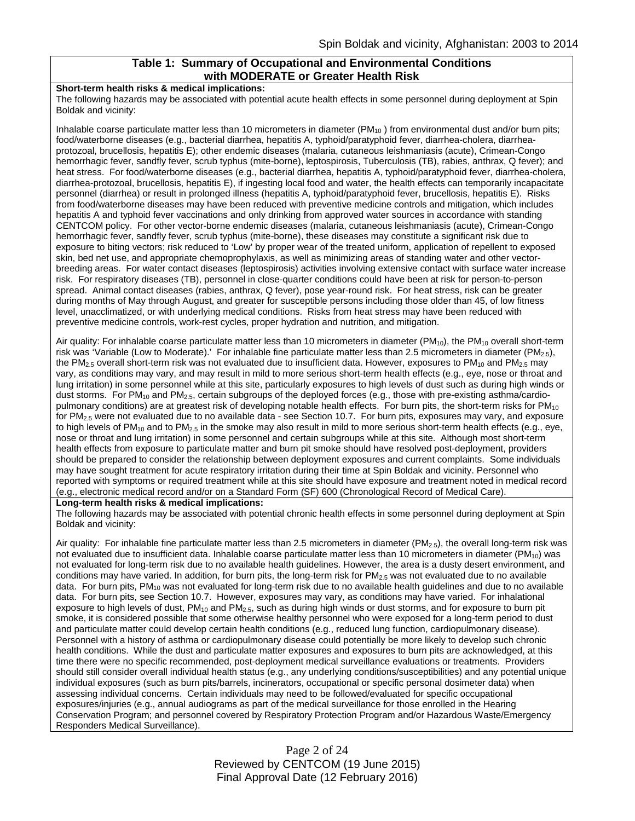#### **Table 1: Summary of Occupational and Environmental Conditions with MODERATE or Greater Health Risk**

#### **Short-term health risks & medical implications:**

The following hazards may be associated with potential acute health effects in some personnel during deployment at Spin Boldak and vicinity:

Inhalable coarse particulate matter less than 10 micrometers in diameter  $(PM_{10})$  from environmental dust and/or burn pits; food/waterborne diseases (e.g., bacterial diarrhea, hepatitis A, typhoid/paratyphoid fever, diarrhea-cholera, diarrheaprotozoal, brucellosis, hepatitis E); other endemic diseases (malaria, cutaneous leishmaniasis (acute), Crimean-Congo hemorrhagic fever, sandfly fever, scrub typhus (mite-borne), leptospirosis, Tuberculosis (TB), rabies, anthrax, Q fever); and heat stress. For food/waterborne diseases (e.g., bacterial diarrhea, hepatitis A, typhoid/paratyphoid fever, diarrhea-cholera, diarrhea-protozoal, brucellosis, hepatitis E), if ingesting local food and water, the health effects can temporarily incapacitate personnel (diarrhea) or result in prolonged illness (hepatitis A, typhoid/paratyphoid fever, brucellosis, hepatitis E). Risks from food/waterborne diseases may have been reduced with preventive medicine controls and mitigation, which includes hepatitis A and typhoid fever vaccinations and only drinking from approved water sources in accordance with standing CENTCOM policy. For other vector-borne endemic diseases (malaria, cutaneous leishmaniasis (acute), Crimean-Congo hemorrhagic fever, sandfly fever, scrub typhus (mite-borne), these diseases may constitute a significant risk due to exposure to biting vectors; risk reduced to 'Low' by proper wear of the treated uniform, application of repellent to exposed skin, bed net use, and appropriate chemoprophylaxis, as well as minimizing areas of standing water and other vectorbreeding areas. For water contact diseases (leptospirosis) activities involving extensive contact with surface water increase risk. For respiratory diseases (TB), personnel in close-quarter conditions could have been at risk for person-to-person spread. Animal contact diseases (rabies, anthrax, Q fever), pose year-round risk. For heat stress, risk can be greater during months of May through August, and greater for susceptible persons including those older than 45, of low fitness level, unacclimatized, or with underlying medical conditions. Risks from heat stress may have been reduced with preventive medicine controls, work-rest cycles, proper hydration and nutrition, and mitigation.

Air quality: For inhalable coarse particulate matter less than 10 micrometers in diameter ( $PM_{10}$ ), the  $PM_{10}$  overall short-term risk was 'Variable (Low to Moderate).' For inhalable fine particulate matter less than 2.5 micrometers in diameter (PM<sub>2.5</sub>), the PM<sub>2.5</sub> overall short-term risk was not evaluated due to insufficient data. However, exposures to PM<sub>10</sub> and PM<sub>2.5</sub> may vary, as conditions may vary, and may result in mild to more serious short-term health effects (e.g., eye, nose or throat and lung irritation) in some personnel while at this site, particularly exposures to high levels of dust such as during high winds or dust storms. For PM<sub>10</sub> and PM<sub>2.5</sub>, certain subgroups of the deployed forces (e.g., those with pre-existing asthma/cardiopulmonary conditions) are at greatest risk of developing notable health effects. For burn pits, the short-term risks for PM<sub>10</sub> for PM2.5 were not evaluated due to no available data - see Section 10.7. For burn pits, exposures may vary, and exposure to high levels of PM<sub>10</sub> and to PM<sub>2.5</sub> in the smoke may also result in mild to more serious short-term health effects (e.g., eye, nose or throat and lung irritation) in some personnel and certain subgroups while at this site. Although most short-term health effects from exposure to particulate matter and burn pit smoke should have resolved post-deployment, providers should be prepared to consider the relationship between deployment exposures and current complaints. Some individuals may have sought treatment for acute respiratory irritation during their time at Spin Boldak and vicinity. Personnel who reported with symptoms or required treatment while at this site should have exposure and treatment noted in medical record (e.g., electronic medical record and/or on a Standard Form (SF) 600 (Chronological Record of Medical Care).

#### **Long-term health risks & medical implications:**

The following hazards may be associated with potential chronic health effects in some personnel during deployment at Spin Boldak and vicinity:

Air quality: For inhalable fine particulate matter less than 2.5 micrometers in diameter (PM<sub>2.5</sub>), the overall long-term risk was not evaluated due to insufficient data. Inhalable coarse particulate matter less than 10 micrometers in diameter (PM<sub>10</sub>) was not evaluated for long-term risk due to no available health guidelines. However, the area is a dusty desert environment, and conditions may have varied. In addition, for burn pits, the long-term risk for  $PM_{2.5}$  was not evaluated due to no available data. For burn pits, PM<sub>10</sub> was not evaluated for long-term risk due to no available health guidelines and due to no available data. For burn pits, see Section 10.7. However, exposures may vary, as conditions may have varied. For inhalational exposure to high levels of dust,  $PM_{10}$  and  $PM_{2.5}$ , such as during high winds or dust storms, and for exposure to burn pit smoke, it is considered possible that some otherwise healthy personnel who were exposed for a long-term period to dust and particulate matter could develop certain health conditions (e.g., reduced lung function, cardiopulmonary disease). Personnel with a history of asthma or cardiopulmonary disease could potentially be more likely to develop such chronic health conditions. While the dust and particulate matter exposures and exposures to burn pits are acknowledged, at this time there were no specific recommended, post-deployment medical surveillance evaluations or treatments. Providers should still consider overall individual health status (e.g., any underlying conditions/susceptibilities) and any potential unique individual exposures (such as burn pits/barrels, incinerators, occupational or specific personal dosimeter data) when assessing individual concerns. Certain individuals may need to be followed/evaluated for specific occupational exposures/injuries (e.g., annual audiograms as part of the medical surveillance for those enrolled in the Hearing Conservation Program; and personnel covered by Respiratory Protection Program and/or Hazardous Waste/Emergency Responders Medical Surveillance).

> Page 2 of 24 Reviewed by CENTCOM (19 June 2015) Final Approval Date (12 February 2016)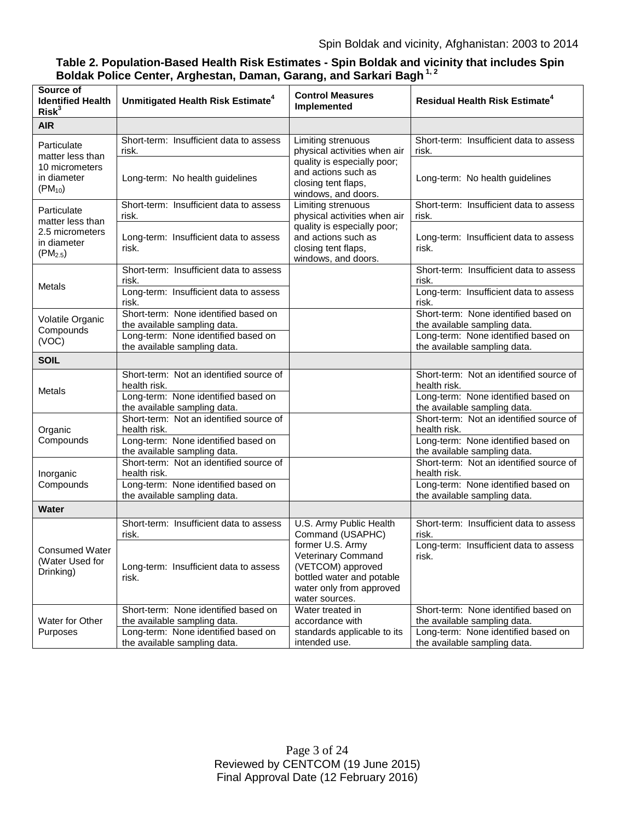# **Table 2. Population-Based Health Risk Estimates - Spin Boldak and vicinity that includes Spin Boldak Police Center, Arghestan, Daman, Garang, and Sarkari Bagh 1, 2**

| Source of<br><b>Identified Health</b><br>Risk <sup>3</sup>                        | Unmitigated Health Risk Estimate <sup>4</sup>                                                                                  | <b>Control Measures</b><br>Implemented                                                                                                                 | <b>Residual Health Risk Estimate<sup>4</sup></b>                                                                               |
|-----------------------------------------------------------------------------------|--------------------------------------------------------------------------------------------------------------------------------|--------------------------------------------------------------------------------------------------------------------------------------------------------|--------------------------------------------------------------------------------------------------------------------------------|
| <b>AIR</b>                                                                        |                                                                                                                                |                                                                                                                                                        |                                                                                                                                |
| Particulate<br>matter less than<br>10 micrometers<br>in diameter<br>$(PM_{10})$   | Short-term: Insufficient data to assess<br>risk.                                                                               | Limiting strenuous<br>physical activities when air<br>quality is especially poor;<br>and actions such as<br>closing tent flaps,<br>windows, and doors. | Short-term: Insufficient data to assess<br>risk.                                                                               |
|                                                                                   | Long-term: No health guidelines                                                                                                |                                                                                                                                                        | Long-term: No health guidelines                                                                                                |
| Particulate<br>matter less than<br>2.5 micrometers<br>in diameter<br>$(PM_{2.5})$ | Short-term: Insufficient data to assess<br>risk.                                                                               | Limiting strenuous<br>physical activities when air                                                                                                     | Short-term: Insufficient data to assess<br>risk.                                                                               |
|                                                                                   | Long-term: Insufficient data to assess<br>risk.                                                                                | quality is especially poor;<br>and actions such as<br>closing tent flaps,<br>windows, and doors.                                                       | Long-term: Insufficient data to assess<br>risk.                                                                                |
| Metals                                                                            | Short-term: Insufficient data to assess<br>risk.                                                                               |                                                                                                                                                        | Short-term: Insufficient data to assess<br>risk.                                                                               |
|                                                                                   | Long-term: Insufficient data to assess<br>risk.                                                                                |                                                                                                                                                        | Long-term: Insufficient data to assess<br>risk.                                                                                |
| Volatile Organic<br>Compounds                                                     | Short-term: None identified based on<br>the available sampling data.<br>Long-term: None identified based on                    |                                                                                                                                                        | Short-term: None identified based on<br>the available sampling data.<br>Long-term: None identified based on                    |
| (VOC)                                                                             | the available sampling data.                                                                                                   |                                                                                                                                                        | the available sampling data.                                                                                                   |
| <b>SOIL</b>                                                                       |                                                                                                                                |                                                                                                                                                        |                                                                                                                                |
| Metals                                                                            | Short-term: Not an identified source of<br>health risk.<br>Long-term: None identified based on<br>the available sampling data. |                                                                                                                                                        | Short-term: Not an identified source of<br>health risk.<br>Long-term: None identified based on<br>the available sampling data. |
| Organic                                                                           | Short-term: Not an identified source of<br>health risk.                                                                        |                                                                                                                                                        | Short-term: Not an identified source of<br>health risk.                                                                        |
| Compounds                                                                         | Long-term: None identified based on<br>the available sampling data.                                                            |                                                                                                                                                        | Long-term: None identified based on<br>the available sampling data.                                                            |
| Inorganic<br>Compounds                                                            | Short-term: Not an identified source of<br>health risk.                                                                        |                                                                                                                                                        | Short-term: Not an identified source of<br>health risk.                                                                        |
|                                                                                   | Long-term: None identified based on<br>the available sampling data.                                                            |                                                                                                                                                        | Long-term: None identified based on<br>the available sampling data.                                                            |
| <b>Water</b>                                                                      |                                                                                                                                |                                                                                                                                                        |                                                                                                                                |
| <b>Consumed Water</b><br>(Water Used for<br>Drinking)                             | Short-term: Insufficient data to assess<br>risk.                                                                               | U.S. Army Public Health<br>Command (USAPHC)                                                                                                            | Short-term: Insufficient data to assess<br>risk.                                                                               |
|                                                                                   | Long-term: Insufficient data to assess<br>risk.                                                                                | former U.S. Army<br>Veterinary Command<br>(VETCOM) approved<br>bottled water and potable<br>water only from approved<br>water sources.                 | Long-term: Insufficient data to assess<br>risk.                                                                                |
| Water for Other<br>Purposes                                                       | Short-term: None identified based on<br>the available sampling data.                                                           | Water treated in<br>accordance with                                                                                                                    | Short-term: None identified based on<br>the available sampling data.                                                           |
|                                                                                   | Long-term: None identified based on<br>the available sampling data.                                                            | standards applicable to its<br>intended use.                                                                                                           | Long-term: None identified based on<br>the available sampling data.                                                            |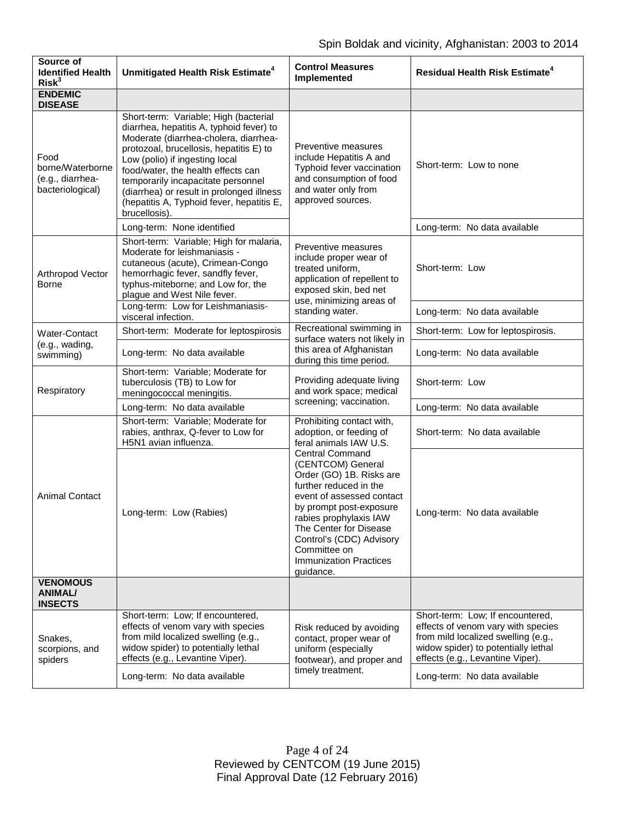| Source of<br><b>Identified Health</b><br>Risk <sup>3</sup>       | Unmitigated Health Risk Estimate <sup>4</sup>                                                                                                                                                                                                                                                                                                                                                  | <b>Control Measures</b><br>Implemented                                                                                                                                                                                                                                                                                                                                                    | <b>Residual Health Risk Estimate<sup>4</sup></b>                                                                                                                                         |
|------------------------------------------------------------------|------------------------------------------------------------------------------------------------------------------------------------------------------------------------------------------------------------------------------------------------------------------------------------------------------------------------------------------------------------------------------------------------|-------------------------------------------------------------------------------------------------------------------------------------------------------------------------------------------------------------------------------------------------------------------------------------------------------------------------------------------------------------------------------------------|------------------------------------------------------------------------------------------------------------------------------------------------------------------------------------------|
| <b>ENDEMIC</b><br><b>DISEASE</b>                                 |                                                                                                                                                                                                                                                                                                                                                                                                |                                                                                                                                                                                                                                                                                                                                                                                           |                                                                                                                                                                                          |
| Food<br>borne/Waterborne<br>(e.g., diarrhea-<br>bacteriological) | Short-term: Variable; High (bacterial<br>diarrhea, hepatitis A, typhoid fever) to<br>Moderate (diarrhea-cholera, diarrhea-<br>protozoal, brucellosis, hepatitis E) to<br>Low (polio) if ingesting local<br>food/water, the health effects can<br>temporarily incapacitate personnel<br>(diarrhea) or result in prolonged illness<br>(hepatitis A, Typhoid fever, hepatitis E,<br>brucellosis). | Preventive measures<br>include Hepatitis A and<br>Typhoid fever vaccination<br>and consumption of food<br>and water only from<br>approved sources.                                                                                                                                                                                                                                        | Short-term: Low to none                                                                                                                                                                  |
|                                                                  | Long-term: None identified                                                                                                                                                                                                                                                                                                                                                                     |                                                                                                                                                                                                                                                                                                                                                                                           | Long-term: No data available                                                                                                                                                             |
| Arthropod Vector<br><b>Borne</b>                                 | Short-term: Variable; High for malaria,<br>Moderate for leishmaniasis -<br>cutaneous (acute), Crimean-Congo<br>hemorrhagic fever, sandfly fever,<br>typhus-miteborne; and Low for, the<br>plague and West Nile fever.                                                                                                                                                                          | Preventive measures<br>include proper wear of<br>treated uniform,<br>application of repellent to<br>exposed skin, bed net<br>use, minimizing areas of<br>standing water.                                                                                                                                                                                                                  | Short-term: Low                                                                                                                                                                          |
|                                                                  | Long-term: Low for Leishmaniasis-<br>visceral infection.                                                                                                                                                                                                                                                                                                                                       |                                                                                                                                                                                                                                                                                                                                                                                           | Long-term: No data available                                                                                                                                                             |
| <b>Water-Contact</b>                                             | Short-term: Moderate for leptospirosis                                                                                                                                                                                                                                                                                                                                                         | Recreational swimming in<br>surface waters not likely in<br>this area of Afghanistan<br>during this time period.                                                                                                                                                                                                                                                                          | Short-term: Low for leptospirosis.                                                                                                                                                       |
| (e.g., wading,<br>swimming)                                      | Long-term: No data available                                                                                                                                                                                                                                                                                                                                                                   |                                                                                                                                                                                                                                                                                                                                                                                           | Long-term: No data available                                                                                                                                                             |
| Respiratory                                                      | Short-term: Variable; Moderate for<br>tuberculosis (TB) to Low for<br>meningococcal meningitis.                                                                                                                                                                                                                                                                                                | Providing adequate living<br>and work space; medical<br>screening; vaccination.                                                                                                                                                                                                                                                                                                           | Short-term: Low                                                                                                                                                                          |
|                                                                  | Long-term: No data available                                                                                                                                                                                                                                                                                                                                                                   |                                                                                                                                                                                                                                                                                                                                                                                           | Long-term: No data available                                                                                                                                                             |
| <b>Animal Contact</b>                                            | Short-term: Variable; Moderate for<br>rabies, anthrax, Q-fever to Low for<br>H5N1 avian influenza.                                                                                                                                                                                                                                                                                             | Prohibiting contact with,<br>adoption, or feeding of<br>feral animals IAW U.S.<br><b>Central Command</b><br>(CENTCOM) General<br>Order (GO) 1B. Risks are<br>further reduced in the<br>event of assessed contact<br>by prompt post-exposure<br>rabies prophylaxis IAW<br>The Center for Disease<br>Control's (CDC) Advisory<br>Committee on<br><b>Immunization Practices</b><br>guidance. | Short-term: No data available                                                                                                                                                            |
|                                                                  | Long-term: Low (Rabies)                                                                                                                                                                                                                                                                                                                                                                        |                                                                                                                                                                                                                                                                                                                                                                                           | Long-term: No data available                                                                                                                                                             |
| <b>VENOMOUS</b><br>ANIMAL/<br><b>INSECTS</b>                     |                                                                                                                                                                                                                                                                                                                                                                                                |                                                                                                                                                                                                                                                                                                                                                                                           |                                                                                                                                                                                          |
| Snakes,<br>scorpions, and<br>spiders                             | Short-term: Low; If encountered,<br>effects of venom vary with species<br>from mild localized swelling (e.g.,<br>widow spider) to potentially lethal<br>effects (e.g., Levantine Viper).                                                                                                                                                                                                       | Risk reduced by avoiding<br>contact, proper wear of<br>uniform (especially<br>footwear), and proper and<br>timely treatment.                                                                                                                                                                                                                                                              | Short-term: Low; If encountered,<br>effects of venom vary with species<br>from mild localized swelling (e.g.,<br>widow spider) to potentially lethal<br>effects (e.g., Levantine Viper). |
|                                                                  | Long-term: No data available                                                                                                                                                                                                                                                                                                                                                                   |                                                                                                                                                                                                                                                                                                                                                                                           | Long-term: No data available                                                                                                                                                             |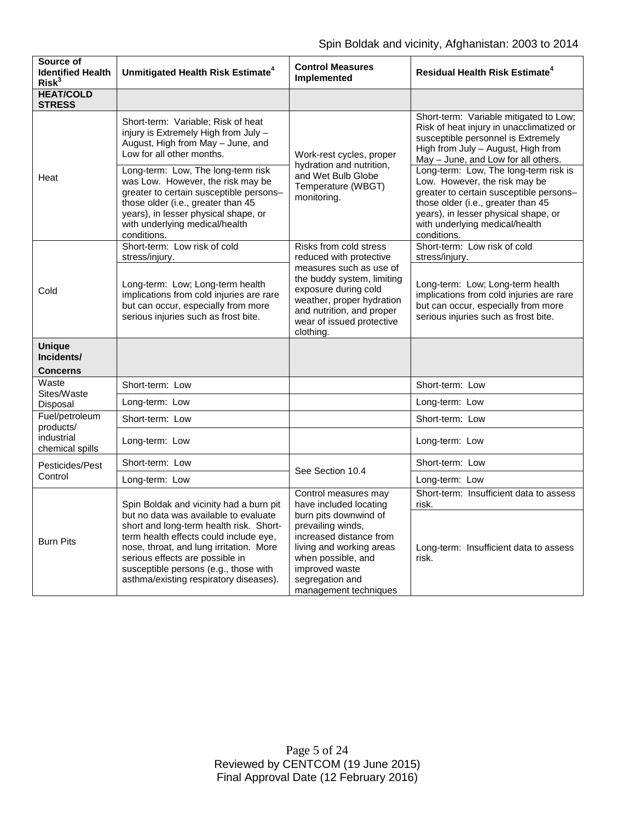| Source of<br><b>Identified Health</b><br>Risk <sup>3</sup>   | Unmitigated Health Risk Estimate <sup>4</sup>                                                                                                                                                                                                                                                                                          | <b>Control Measures</b><br>Implemented                                                                                                                                                                                                  | <b>Residual Health Risk Estimate<sup>4</sup></b>                                                                                                                                                                                                 |
|--------------------------------------------------------------|----------------------------------------------------------------------------------------------------------------------------------------------------------------------------------------------------------------------------------------------------------------------------------------------------------------------------------------|-----------------------------------------------------------------------------------------------------------------------------------------------------------------------------------------------------------------------------------------|--------------------------------------------------------------------------------------------------------------------------------------------------------------------------------------------------------------------------------------------------|
| <b>HEAT/COLD</b><br><b>STRESS</b>                            |                                                                                                                                                                                                                                                                                                                                        |                                                                                                                                                                                                                                         |                                                                                                                                                                                                                                                  |
| Heat                                                         | Short-term: Variable; Risk of heat<br>injury is Extremely High from July -<br>August, High from May - June, and<br>Low for all other months.                                                                                                                                                                                           | Work-rest cycles, proper<br>hydration and nutrition,<br>and Wet Bulb Globe<br>Temperature (WBGT)<br>monitoring.                                                                                                                         | Short-term: Variable mitigated to Low;<br>Risk of heat injury in unacclimatized or<br>susceptible personnel is Extremely<br>High from July - August, High from<br>May - June, and Low for all others.                                            |
|                                                              | Long-term: Low, The long-term risk<br>was Low. However, the risk may be<br>greater to certain susceptible persons-<br>those older (i.e., greater than 45<br>years), in lesser physical shape, or<br>with underlying medical/health<br>conditions.                                                                                      |                                                                                                                                                                                                                                         | Long-term: Low, The long-term risk is<br>Low. However, the risk may be<br>greater to certain susceptible persons-<br>those older (i.e., greater than 45<br>years), in lesser physical shape, or<br>with underlying medical/health<br>conditions. |
| Cold                                                         | Short-term: Low risk of cold<br>stress/injury.                                                                                                                                                                                                                                                                                         | Risks from cold stress<br>reduced with protective<br>measures such as use of<br>the buddy system, limiting<br>exposure during cold<br>weather, proper hydration<br>and nutrition, and proper<br>wear of issued protective<br>clothing.  | Short-term: Low risk of cold<br>stress/injury.                                                                                                                                                                                                   |
|                                                              | Long-term: Low; Long-term health<br>implications from cold injuries are rare<br>but can occur, especially from more<br>serious injuries such as frost bite.                                                                                                                                                                            |                                                                                                                                                                                                                                         | Long-term: Low; Long-term health<br>implications from cold injuries are rare<br>but can occur, especially from more<br>serious injuries such as frost bite.                                                                                      |
| <b>Unique</b><br>Incidents/<br><b>Concerns</b>               |                                                                                                                                                                                                                                                                                                                                        |                                                                                                                                                                                                                                         |                                                                                                                                                                                                                                                  |
| Waste                                                        | Short-term: Low                                                                                                                                                                                                                                                                                                                        |                                                                                                                                                                                                                                         | Short-term: Low                                                                                                                                                                                                                                  |
| Sites/Waste<br>Disposal                                      | Long-term: Low                                                                                                                                                                                                                                                                                                                         |                                                                                                                                                                                                                                         | Long-term: Low                                                                                                                                                                                                                                   |
| Fuel/petroleum<br>products/<br>industrial<br>chemical spills | Short-term: Low                                                                                                                                                                                                                                                                                                                        |                                                                                                                                                                                                                                         | Short-term: Low                                                                                                                                                                                                                                  |
|                                                              | Long-term: Low                                                                                                                                                                                                                                                                                                                         |                                                                                                                                                                                                                                         | Long-term: Low                                                                                                                                                                                                                                   |
| Pesticides/Pest<br>Control                                   | Short-term: Low                                                                                                                                                                                                                                                                                                                        | See Section 10.4                                                                                                                                                                                                                        | Short-term: Low                                                                                                                                                                                                                                  |
|                                                              | Long-term: Low                                                                                                                                                                                                                                                                                                                         |                                                                                                                                                                                                                                         | Long-term: Low                                                                                                                                                                                                                                   |
| <b>Burn Pits</b>                                             | Spin Boldak and vicinity had a burn pit<br>but no data was available to evaluate<br>short and long-term health risk. Short-<br>term health effects could include eye,<br>nose, throat, and lung irritation. More<br>serious effects are possible in<br>susceptible persons (e.g., those with<br>asthma/existing respiratory diseases). | Control measures may<br>have included locating<br>burn pits downwind of<br>prevailing winds,<br>increased distance from<br>living and working areas<br>when possible, and<br>improved waste<br>segregation and<br>management techniques | Short-term: Insufficient data to assess<br>risk.                                                                                                                                                                                                 |
|                                                              |                                                                                                                                                                                                                                                                                                                                        |                                                                                                                                                                                                                                         | Long-term: Insufficient data to assess<br>risk.                                                                                                                                                                                                  |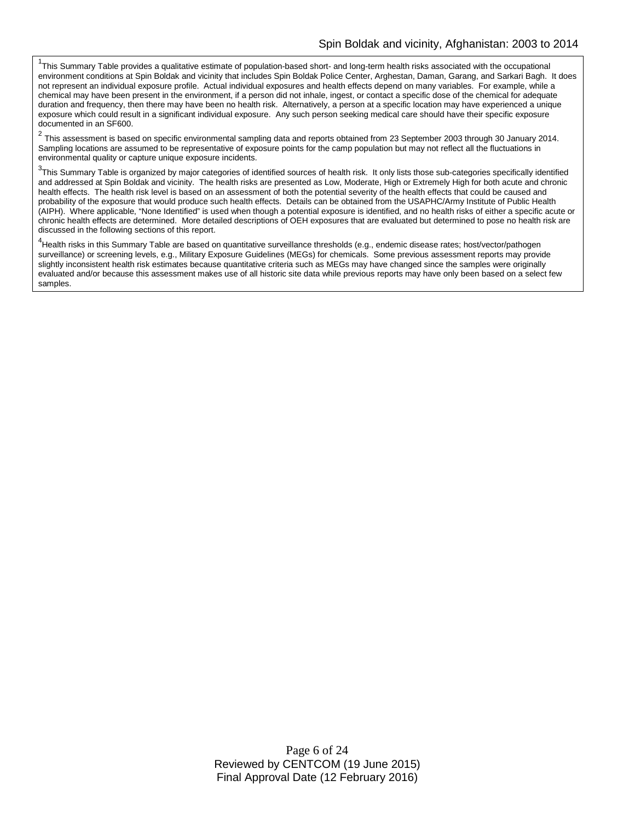<sup>1</sup>This Summary Table provides a qualitative estimate of population-based short- and long-term health risks associated with the occupational environment conditions at Spin Boldak and vicinity that includes Spin Boldak Police Center, Arghestan, Daman, Garang, and Sarkari Bagh. It does not represent an individual exposure profile. Actual individual exposures and health effects depend on many variables. For example, while a chemical may have been present in the environment, if a person did not inhale, ingest, or contact a specific dose of the chemical for adequate duration and frequency, then there may have been no health risk. Alternatively, a person at a specific location may have experienced a unique exposure which could result in a significant individual exposure. Any such person seeking medical care should have their specific exposure documented in an SF600.

<sup>2</sup> This assessment is based on specific environmental sampling data and reports obtained from 23 September 2003 through 30 January 2014. Sampling locations are assumed to be representative of exposure points for the camp population but may not reflect all the fluctuations in environmental quality or capture unique exposure incidents.

 $^3$ This Summary Table is organized by major categories of identified sources of health risk. It only lists those sub-categories specifically identified and addressed at Spin Boldak and vicinity. The health risks are presented as Low, Moderate, High or Extremely High for both acute and chronic health effects. The health risk level is based on an assessment of both the potential severity of the health effects that could be caused and probability of the exposure that would produce such health effects. Details can be obtained from the USAPHC/Army Institute of Public Health (AIPH). Where applicable, "None Identified" is used when though a potential exposure is identified, and no health risks of either a specific acute or chronic health effects are determined. More detailed descriptions of OEH exposures that are evaluated but determined to pose no health risk are discussed in the following sections of this report.

<sup>4</sup>Health risks in this Summary Table are based on quantitative surveillance thresholds (e.g., endemic disease rates; host/vector/pathogen surveillance) or screening levels, e.g., Military Exposure Guidelines (MEGs) for chemicals. Some previous assessment reports may provide slightly inconsistent health risk estimates because quantitative criteria such as MEGs may have changed since the samples were originally evaluated and/or because this assessment makes use of all historic site data while previous reports may have only been based on a select few samples.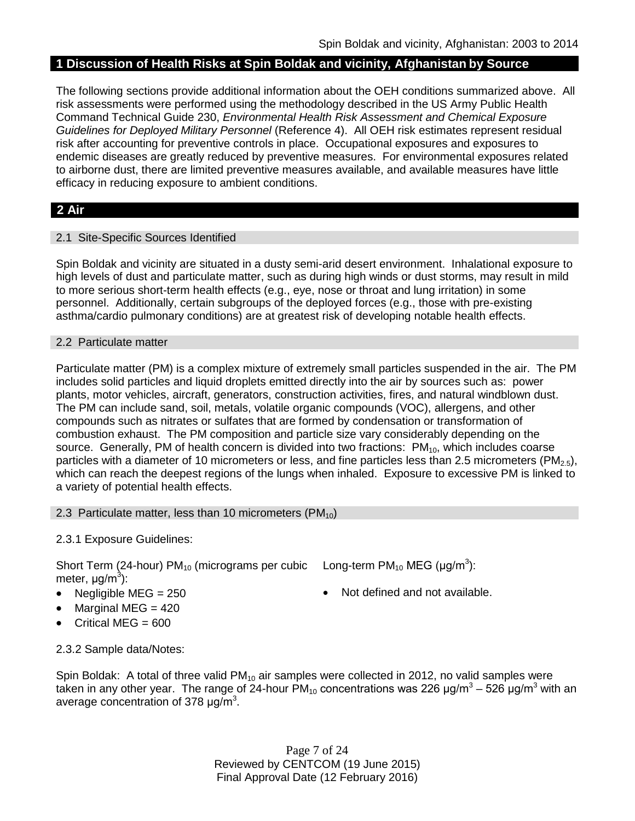# **1 Discussion of Health Risks at Spin Boldak and vicinity, Afghanistan by Source**

The following sections provide additional information about the OEH conditions summarized above. All risk assessments were performed using the methodology described in the US Army Public Health Command Technical Guide 230, *Environmental Health Risk Assessment and Chemical Exposure Guidelines for Deployed Military Personnel* (Reference 4). All OEH risk estimates represent residual risk after accounting for preventive controls in place. Occupational exposures and exposures to endemic diseases are greatly reduced by preventive measures. For environmental exposures related to airborne dust, there are limited preventive measures available, and available measures have little efficacy in reducing exposure to ambient conditions.

# **2 Air**

# 2.1 Site-Specific Sources Identified

Spin Boldak and vicinity are situated in a dusty semi-arid desert environment. Inhalational exposure to high levels of dust and particulate matter, such as during high winds or dust storms, may result in mild to more serious short-term health effects (e.g., eye, nose or throat and lung irritation) in some personnel. Additionally, certain subgroups of the deployed forces (e.g., those with pre-existing asthma/cardio pulmonary conditions) are at greatest risk of developing notable health effects.

#### 2.2 Particulate matter

Particulate matter (PM) is a complex mixture of extremely small particles suspended in the air. The PM includes solid particles and liquid droplets emitted directly into the air by sources such as: power plants, motor vehicles, aircraft, generators, construction activities, fires, and natural windblown dust. The PM can include sand, soil, metals, volatile organic compounds (VOC), allergens, and other compounds such as nitrates or sulfates that are formed by condensation or transformation of combustion exhaust. The PM composition and particle size vary considerably depending on the source. Generally, PM of health concern is divided into two fractions:  $PM_{10}$ , which includes coarse particles with a diameter of 10 micrometers or less, and fine particles less than 2.5 micrometers ( $PM_{2.5}$ ), which can reach the deepest regions of the lungs when inhaled. Exposure to excessive PM is linked to a variety of potential health effects.

# 2.3 Particulate matter, less than 10 micrometers  $(PM_{10})$

# 2.3.1 Exposure Guidelines:

Short Term (24-hour) PM<sub>10</sub> (micrograms per cubic Long-term PM<sub>10</sub> MEG (µg/m<sup>3</sup>): meter, μg/m<sup>3</sup>):

- Negligible MEG = 250 **•** Not defined and not available.
- Marginal MEG  $= 420$
- Critical MEG = 600

2.3.2 Sample data/Notes:

Spin Boldak: A total of three valid  $PM_{10}$  air samples were collected in 2012, no valid samples were taken in any other year. The range of 24-hour PM<sub>10</sub> concentrations was 226  $\mu$ g/m<sup>3</sup> – 526  $\mu$ g/m<sup>3</sup> with an average concentration of 378  $\mu$ g/m<sup>3</sup>.

> Page 7 of 24 Reviewed by CENTCOM (19 June 2015) Final Approval Date (12 February 2016)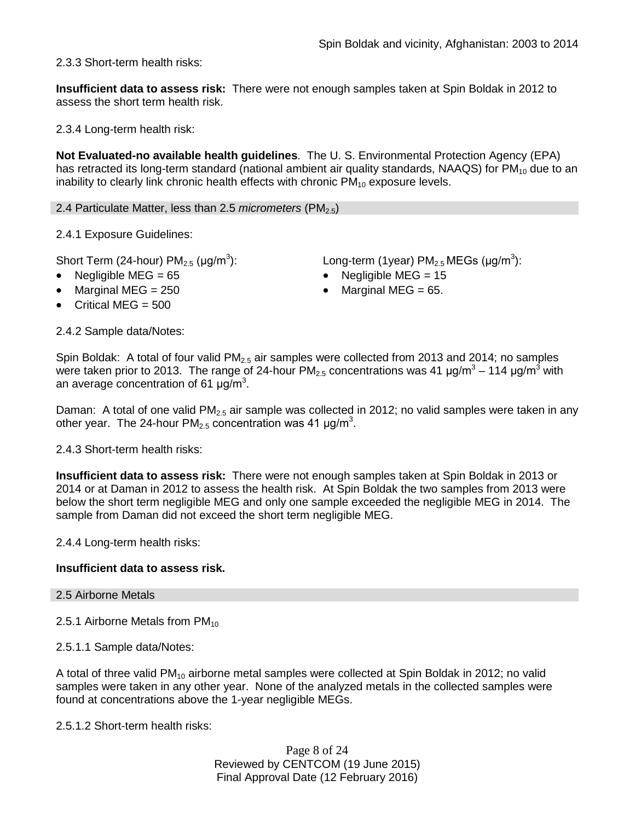2.3.3 Short-term health risks:

**Insufficient data to assess risk:** There were not enough samples taken at Spin Boldak in 2012 to assess the short term health risk.

2.3.4 Long-term health risk:

**Not Evaluated-no available health guidelines**. The U. S. Environmental Protection Agency (EPA) has retracted its long-term standard (national ambient air quality standards, NAAQS) for  $PM_{10}$  due to an inability to clearly link chronic health effects with chronic  $PM_{10}$  exposure levels.

2.4 Particulate Matter, less than 2.5 *micrometers* (PM2.5)

2.4.1 Exposure Guidelines:

Short Term (24-hour)  $PM_{2.5}$  ( $\mu$ g/m<sup>3</sup>):

- 
- 
- Critical MEG = 500

): Long-term (1year)  $PM_{2.5}$  MEGs (µg/m<sup>3</sup>): • Negligible MEG = 65 • Negligible MEG = 15

Marginal MEG =  $250$  • Marginal MEG =  $65$ .

2.4.2 Sample data/Notes:

Spin Boldak: A total of four valid  $PM_{2.5}$  air samples were collected from 2013 and 2014; no samples were taken prior to 2013. The range of 24-hour  $PM_{2.5}$  concentrations was 41  $\mu$ g/m<sup>3</sup> – 114  $\mu$ g/m<sup>3</sup> with an average concentration of 61  $\mu$ g/m<sup>3</sup>.

Daman: A total of one valid  $PM<sub>2.5</sub>$  air sample was collected in 2012; no valid samples were taken in any other year. The 24-hour PM<sub>2.5</sub> concentration was 41  $\mu$ g/m<sup>3</sup>.

2.4.3 Short-term health risks:

**Insufficient data to assess risk:** There were not enough samples taken at Spin Boldak in 2013 or 2014 or at Daman in 2012 to assess the health risk. At Spin Boldak the two samples from 2013 were below the short term negligible MEG and only one sample exceeded the negligible MEG in 2014. The sample from Daman did not exceed the short term negligible MEG.

2.4.4 Long-term health risks:

#### **Insufficient data to assess risk.**

#### 2.5 Airborne Metals

2.5.1 Airborne Metals from  $PM_{10}$ 

2.5.1.1 Sample data/Notes:

A total of three valid  $PM_{10}$  airborne metal samples were collected at Spin Boldak in 2012; no valid samples were taken in any other year. None of the analyzed metals in the collected samples were found at concentrations above the 1-year negligible MEGs.

2.5.1.2 Short-term health risks:

Page 8 of 24 Reviewed by CENTCOM (19 June 2015) Final Approval Date (12 February 2016)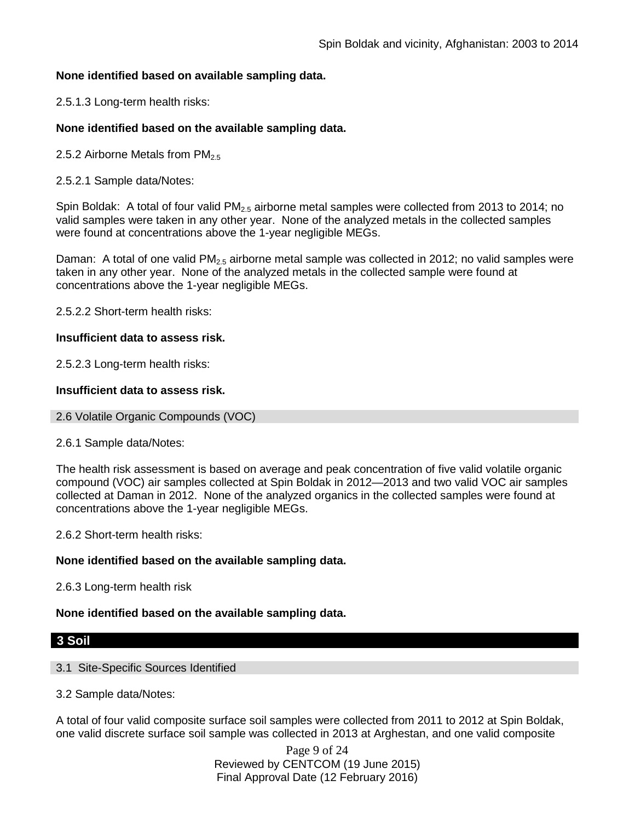# **None identified based on available sampling data.**

2.5.1.3 Long-term health risks:

# **None identified based on the available sampling data.**

2.5.2 Airborne Metals from  $PM_{2.5}$ 

2.5.2.1 Sample data/Notes:

Spin Boldak: A total of four valid PM<sub>2.5</sub> airborne metal samples were collected from 2013 to 2014; no valid samples were taken in any other year. None of the analyzed metals in the collected samples were found at concentrations above the 1-year negligible MEGs.

Daman: A total of one valid  $PM<sub>2.5</sub>$  airborne metal sample was collected in 2012; no valid samples were taken in any other year. None of the analyzed metals in the collected sample were found at concentrations above the 1-year negligible MEGs.

2.5.2.2 Short-term health risks:

# **Insufficient data to assess risk.**

2.5.2.3 Long-term health risks:

# **Insufficient data to assess risk.**

2.6 Volatile Organic Compounds (VOC)

#### 2.6.1 Sample data/Notes:

The health risk assessment is based on average and peak concentration of five valid volatile organic compound (VOC) air samples collected at Spin Boldak in 2012—2013 and two valid VOC air samples collected at Daman in 2012. None of the analyzed organics in the collected samples were found at concentrations above the 1-year negligible MEGs.

2.6.2 Short-term health risks:

# **None identified based on the available sampling data.**

2.6.3 Long-term health risk

# **None identified based on the available sampling data.**

# **3 Soil**

# 3.1 Site-Specific Sources Identified

# 3.2 Sample data/Notes:

A total of four valid composite surface soil samples were collected from 2011 to 2012 at Spin Boldak, one valid discrete surface soil sample was collected in 2013 at Arghestan, and one valid composite

> Page 9 of 24 Reviewed by CENTCOM (19 June 2015) Final Approval Date (12 February 2016)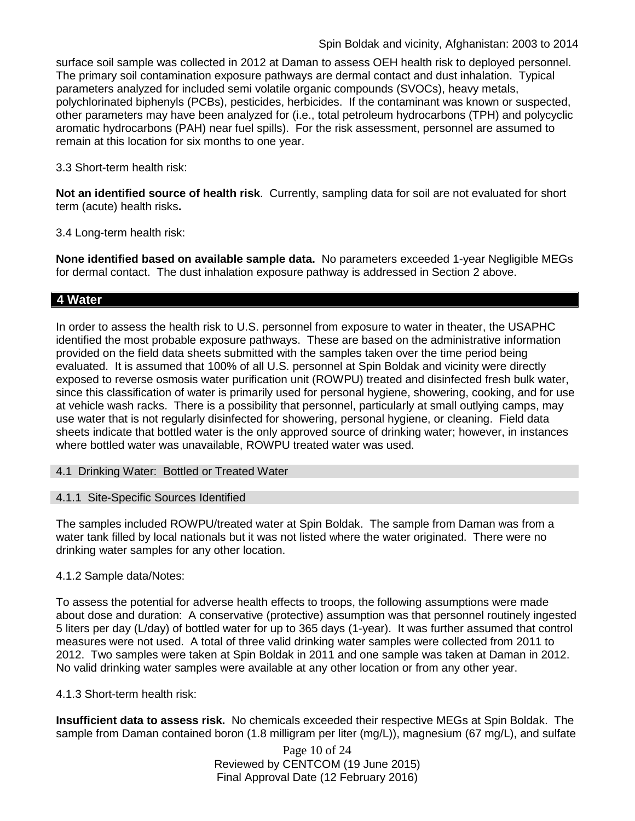surface soil sample was collected in 2012 at Daman to assess OEH health risk to deployed personnel. The primary soil contamination exposure pathways are dermal contact and dust inhalation. Typical parameters analyzed for included semi volatile organic compounds (SVOCs), heavy metals, polychlorinated biphenyls (PCBs), pesticides, herbicides. If the contaminant was known or suspected, other parameters may have been analyzed for (i.e., total petroleum hydrocarbons (TPH) and polycyclic aromatic hydrocarbons (PAH) near fuel spills). For the risk assessment, personnel are assumed to remain at this location for six months to one year.

3.3 Short-term health risk:

**Not an identified source of health risk**. Currently, sampling data for soil are not evaluated for short term (acute) health risks**.**

3.4 Long-term health risk:

**None identified based on available sample data.** No parameters exceeded 1-year Negligible MEGs for dermal contact. The dust inhalation exposure pathway is addressed in Section 2 above.

# **4 Water**

In order to assess the health risk to U.S. personnel from exposure to water in theater, the USAPHC identified the most probable exposure pathways. These are based on the administrative information provided on the field data sheets submitted with the samples taken over the time period being evaluated. It is assumed that 100% of all U.S. personnel at Spin Boldak and vicinity were directly exposed to reverse osmosis water purification unit (ROWPU) treated and disinfected fresh bulk water, since this classification of water is primarily used for personal hygiene, showering, cooking, and for use at vehicle wash racks. There is a possibility that personnel, particularly at small outlying camps, may use water that is not regularly disinfected for showering, personal hygiene, or cleaning. Field data sheets indicate that bottled water is the only approved source of drinking water; however, in instances where bottled water was unavailable, ROWPU treated water was used.

4.1 Drinking Water: Bottled or Treated Water

#### 4.1.1 Site-Specific Sources Identified

The samples included ROWPU/treated water at Spin Boldak. The sample from Daman was from a water tank filled by local nationals but it was not listed where the water originated. There were no drinking water samples for any other location.

# 4.1.2 Sample data/Notes:

To assess the potential for adverse health effects to troops, the following assumptions were made about dose and duration: A conservative (protective) assumption was that personnel routinely ingested 5 liters per day (L/day) of bottled water for up to 365 days (1-year). It was further assumed that control measures were not used. A total of three valid drinking water samples were collected from 2011 to 2012. Two samples were taken at Spin Boldak in 2011 and one sample was taken at Daman in 2012. No valid drinking water samples were available at any other location or from any other year.

#### 4.1.3 Short-term health risk:

**Insufficient data to assess risk.** No chemicals exceeded their respective MEGs at Spin Boldak. The sample from Daman contained boron (1.8 milligram per liter (mg/L)), magnesium (67 mg/L), and sulfate

> Page 10 of 24 Reviewed by CENTCOM (19 June 2015) Final Approval Date (12 February 2016)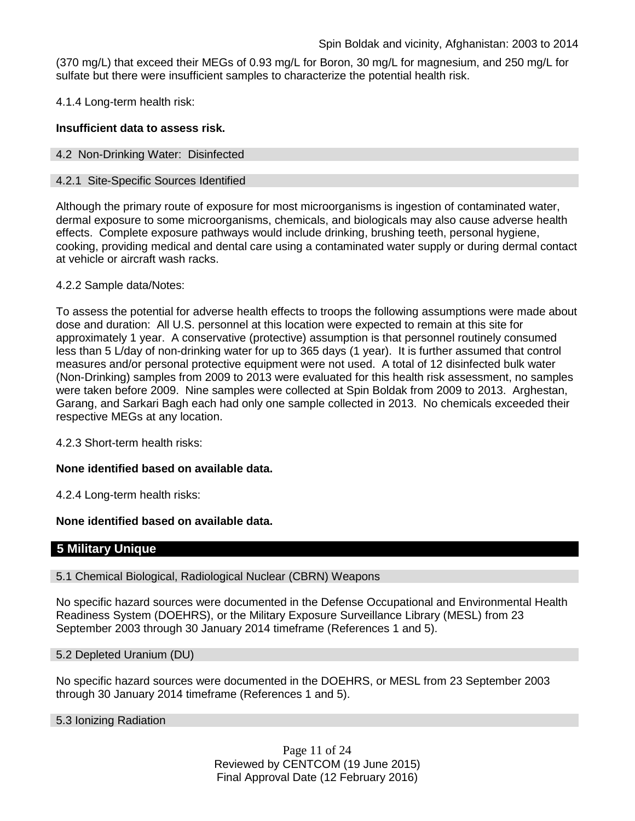(370 mg/L) that exceed their MEGs of 0.93 mg/L for Boron, 30 mg/L for magnesium, and 250 mg/L for sulfate but there were insufficient samples to characterize the potential health risk.

4.1.4 Long-term health risk:

# **Insufficient data to assess risk.**

#### 4.2 Non-Drinking Water: Disinfected

#### 4.2.1 Site-Specific Sources Identified

Although the primary route of exposure for most microorganisms is ingestion of contaminated water, dermal exposure to some microorganisms, chemicals, and biologicals may also cause adverse health effects. Complete exposure pathways would include drinking, brushing teeth, personal hygiene, cooking, providing medical and dental care using a contaminated water supply or during dermal contact at vehicle or aircraft wash racks.

# 4.2.2 Sample data/Notes:

To assess the potential for adverse health effects to troops the following assumptions were made about dose and duration: All U.S. personnel at this location were expected to remain at this site for approximately 1 year. A conservative (protective) assumption is that personnel routinely consumed less than 5 L/day of non-drinking water for up to 365 days (1 year). It is further assumed that control measures and/or personal protective equipment were not used. A total of 12 disinfected bulk water (Non-Drinking) samples from 2009 to 2013 were evaluated for this health risk assessment, no samples were taken before 2009. Nine samples were collected at Spin Boldak from 2009 to 2013. Arghestan, Garang, and Sarkari Bagh each had only one sample collected in 2013. No chemicals exceeded their respective MEGs at any location.

4.2.3 Short-term health risks:

# **None identified based on available data.**

4.2.4 Long-term health risks:

# **None identified based on available data.**

# **5 Military Unique**

#### 5.1 Chemical Biological, Radiological Nuclear (CBRN) Weapons

No specific hazard sources were documented in the Defense Occupational and Environmental Health Readiness System (DOEHRS), or the Military Exposure Surveillance Library (MESL) from 23 September 2003 through 30 January 2014 timeframe (References 1 and 5).

5.2 Depleted Uranium (DU)

No specific hazard sources were documented in the DOEHRS, or MESL from 23 September 2003 through 30 January 2014 timeframe (References 1 and 5).

5.3 Ionizing Radiation

Page 11 of 24 Reviewed by CENTCOM (19 June 2015) Final Approval Date (12 February 2016)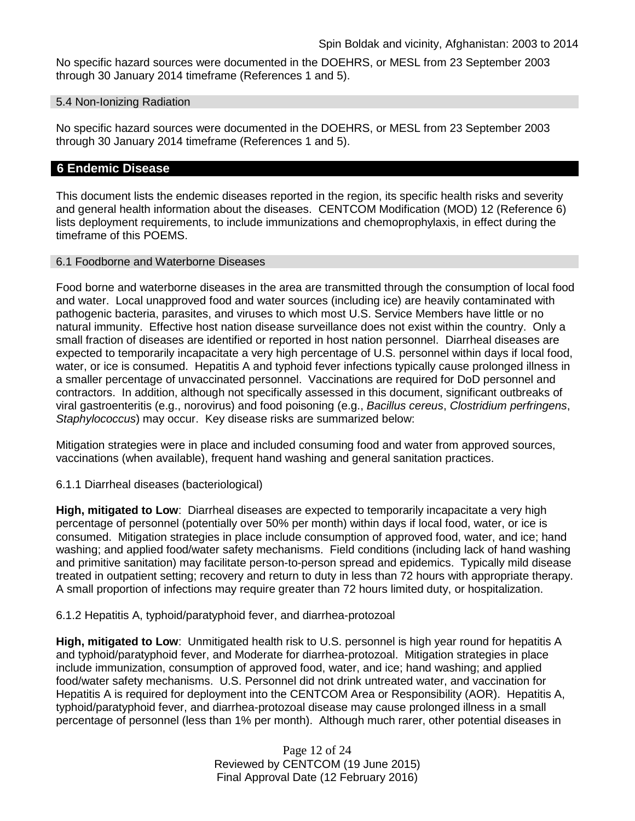No specific hazard sources were documented in the DOEHRS, or MESL from 23 September 2003 through 30 January 2014 timeframe (References 1 and 5).

#### 5.4 Non-Ionizing Radiation

No specific hazard sources were documented in the DOEHRS, or MESL from 23 September 2003 through 30 January 2014 timeframe (References 1 and 5).

# **6 Endemic Disease**

This document lists the endemic diseases reported in the region, its specific health risks and severity and general health information about the diseases. CENTCOM Modification (MOD) 12 (Reference 6) lists deployment requirements, to include immunizations and chemoprophylaxis, in effect during the timeframe of this POEMS.

# 6.1 Foodborne and Waterborne Diseases

Food borne and waterborne diseases in the area are transmitted through the consumption of local food and water. Local unapproved food and water sources (including ice) are heavily contaminated with pathogenic bacteria, parasites, and viruses to which most U.S. Service Members have little or no natural immunity. Effective host nation disease surveillance does not exist within the country. Only a small fraction of diseases are identified or reported in host nation personnel. Diarrheal diseases are expected to temporarily incapacitate a very high percentage of U.S. personnel within days if local food, water, or ice is consumed. Hepatitis A and typhoid fever infections typically cause prolonged illness in a smaller percentage of unvaccinated personnel. Vaccinations are required for DoD personnel and contractors. In addition, although not specifically assessed in this document, significant outbreaks of viral gastroenteritis (e.g., norovirus) and food poisoning (e.g., *Bacillus cereus*, *Clostridium perfringens*, *Staphylococcus*) may occur. Key disease risks are summarized below:

Mitigation strategies were in place and included consuming food and water from approved sources, vaccinations (when available), frequent hand washing and general sanitation practices.

# 6.1.1 Diarrheal diseases (bacteriological)

**High, mitigated to Low**: Diarrheal diseases are expected to temporarily incapacitate a very high percentage of personnel (potentially over 50% per month) within days if local food, water, or ice is consumed. Mitigation strategies in place include consumption of approved food, water, and ice; hand washing; and applied food/water safety mechanisms. Field conditions (including lack of hand washing and primitive sanitation) may facilitate person-to-person spread and epidemics. Typically mild disease treated in outpatient setting; recovery and return to duty in less than 72 hours with appropriate therapy. A small proportion of infections may require greater than 72 hours limited duty, or hospitalization.

# 6.1.2 Hepatitis A, typhoid/paratyphoid fever, and diarrhea-protozoal

**High, mitigated to Low**: Unmitigated health risk to U.S. personnel is high year round for hepatitis A and typhoid/paratyphoid fever, and Moderate for diarrhea-protozoal. Mitigation strategies in place include immunization, consumption of approved food, water, and ice; hand washing; and applied food/water safety mechanisms. U.S. Personnel did not drink untreated water, and vaccination for Hepatitis A is required for deployment into the CENTCOM Area or Responsibility (AOR). Hepatitis A, typhoid/paratyphoid fever, and diarrhea-protozoal disease may cause prolonged illness in a small percentage of personnel (less than 1% per month). Although much rarer, other potential diseases in

> Page 12 of 24 Reviewed by CENTCOM (19 June 2015) Final Approval Date (12 February 2016)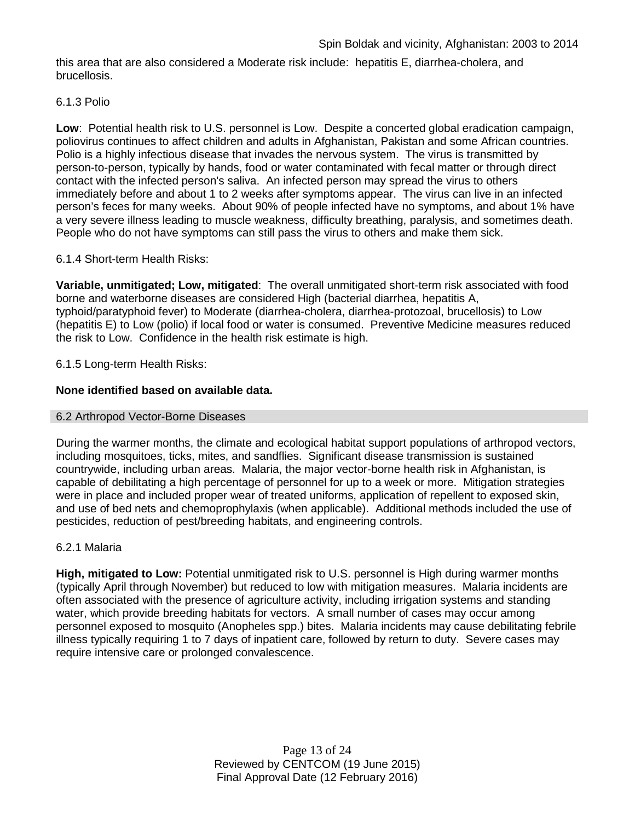this area that are also considered a Moderate risk include: hepatitis E, diarrhea-cholera, and brucellosis.

#### 6.1.3 Polio

**Low**: Potential health risk to U.S. personnel is Low. Despite a concerted global eradication campaign, poliovirus continues to affect children and adults in Afghanistan, Pakistan and some African countries. Polio is a highly infectious disease that invades the nervous system. The virus is transmitted by person-to-person, typically by hands, food or water contaminated with fecal matter or through direct contact with the infected person's saliva. An infected person may spread the virus to others immediately before and about 1 to 2 weeks after symptoms appear. The virus can live in an infected person's feces for many weeks. About 90% of people infected have no symptoms, and about 1% have a very severe illness leading to muscle weakness, difficulty breathing, paralysis, and sometimes death. People who do not have symptoms can still pass the virus to others and make them sick.

# 6.1.4 Short-term Health Risks:

**Variable, unmitigated; Low, mitigated**: The overall unmitigated short-term risk associated with food borne and waterborne diseases are considered High (bacterial diarrhea, hepatitis A, typhoid/paratyphoid fever) to Moderate (diarrhea-cholera, diarrhea-protozoal, brucellosis) to Low (hepatitis E) to Low (polio) if local food or water is consumed. Preventive Medicine measures reduced the risk to Low. Confidence in the health risk estimate is high.

# 6.1.5 Long-term Health Risks:

# **None identified based on available data.**

#### 6.2 Arthropod Vector-Borne Diseases

During the warmer months, the climate and ecological habitat support populations of arthropod vectors, including mosquitoes, ticks, mites, and sandflies. Significant disease transmission is sustained countrywide, including urban areas. Malaria, the major vector-borne health risk in Afghanistan, is capable of debilitating a high percentage of personnel for up to a week or more. Mitigation strategies were in place and included proper wear of treated uniforms, application of repellent to exposed skin, and use of bed nets and chemoprophylaxis (when applicable). Additional methods included the use of pesticides, reduction of pest/breeding habitats, and engineering controls.

#### 6.2.1 Malaria

**High, mitigated to Low:** Potential unmitigated risk to U.S. personnel is High during warmer months (typically April through November) but reduced to low with mitigation measures. Malaria incidents are often associated with the presence of agriculture activity, including irrigation systems and standing water, which provide breeding habitats for vectors. A small number of cases may occur among personnel exposed to mosquito (Anopheles spp.) bites. Malaria incidents may cause debilitating febrile illness typically requiring 1 to 7 days of inpatient care, followed by return to duty. Severe cases may require intensive care or prolonged convalescence.

> Page 13 of 24 Reviewed by CENTCOM (19 June 2015) Final Approval Date (12 February 2016)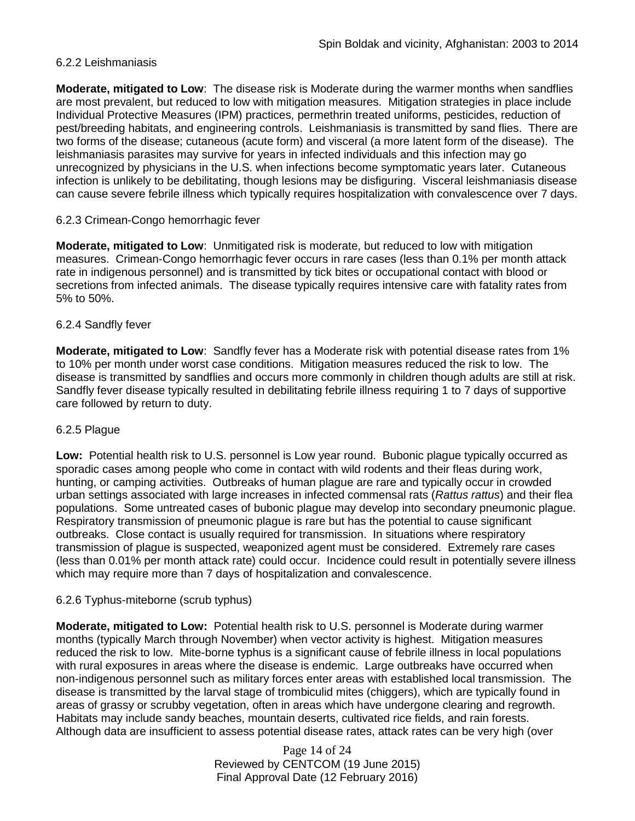# 6.2.2 Leishmaniasis

**Moderate, mitigated to Low**: The disease risk is Moderate during the warmer months when sandflies are most prevalent, but reduced to low with mitigation measures. Mitigation strategies in place include Individual Protective Measures (IPM) practices, permethrin treated uniforms, pesticides, reduction of pest/breeding habitats, and engineering controls. Leishmaniasis is transmitted by sand flies. There are two forms of the disease; cutaneous (acute form) and visceral (a more latent form of the disease). The leishmaniasis parasites may survive for years in infected individuals and this infection may go unrecognized by physicians in the U.S. when infections become symptomatic years later. Cutaneous infection is unlikely to be debilitating, though lesions may be disfiguring. Visceral leishmaniasis disease can cause severe febrile illness which typically requires hospitalization with convalescence over 7 days.

# 6.2.3 Crimean-Congo hemorrhagic fever

**Moderate, mitigated to Low**: Unmitigated risk is moderate, but reduced to low with mitigation measures. Crimean-Congo hemorrhagic fever occurs in rare cases (less than 0.1% per month attack rate in indigenous personnel) and is transmitted by tick bites or occupational contact with blood or secretions from infected animals. The disease typically requires intensive care with fatality rates from 5% to 50%.

#### 6.2.4 Sandfly fever

**Moderate, mitigated to Low**: Sandfly fever has a Moderate risk with potential disease rates from 1% to 10% per month under worst case conditions. Mitigation measures reduced the risk to low. The disease is transmitted by sandflies and occurs more commonly in children though adults are still at risk. Sandfly fever disease typically resulted in debilitating febrile illness requiring 1 to 7 days of supportive care followed by return to duty.

#### 6.2.5 Plague

**Low:** Potential health risk to U.S. personnel is Low year round. Bubonic plague typically occurred as sporadic cases among people who come in contact with wild rodents and their fleas during work, hunting, or camping activities. Outbreaks of human plague are rare and typically occur in crowded urban settings associated with large increases in infected commensal rats (*Rattus rattus*) and their flea populations. Some untreated cases of bubonic plague may develop into secondary pneumonic plague. Respiratory transmission of pneumonic plague is rare but has the potential to cause significant outbreaks. Close contact is usually required for transmission. In situations where respiratory transmission of plague is suspected, weaponized agent must be considered. Extremely rare cases (less than 0.01% per month attack rate) could occur. Incidence could result in potentially severe illness which may require more than 7 days of hospitalization and convalescence.

#### 6.2.6 Typhus-miteborne (scrub typhus)

**Moderate, mitigated to Low:** Potential health risk to U.S. personnel is Moderate during warmer months (typically March through November) when vector activity is highest. Mitigation measures reduced the risk to low. Mite-borne typhus is a significant cause of febrile illness in local populations with rural exposures in areas where the disease is endemic. Large outbreaks have occurred when non-indigenous personnel such as military forces enter areas with established local transmission. The disease is transmitted by the larval stage of trombiculid mites (chiggers), which are typically found in areas of grassy or scrubby vegetation, often in areas which have undergone clearing and regrowth. Habitats may include sandy beaches, mountain deserts, cultivated rice fields, and rain forests. Although data are insufficient to assess potential disease rates, attack rates can be very high (over

> Page 14 of 24 Reviewed by CENTCOM (19 June 2015) Final Approval Date (12 February 2016)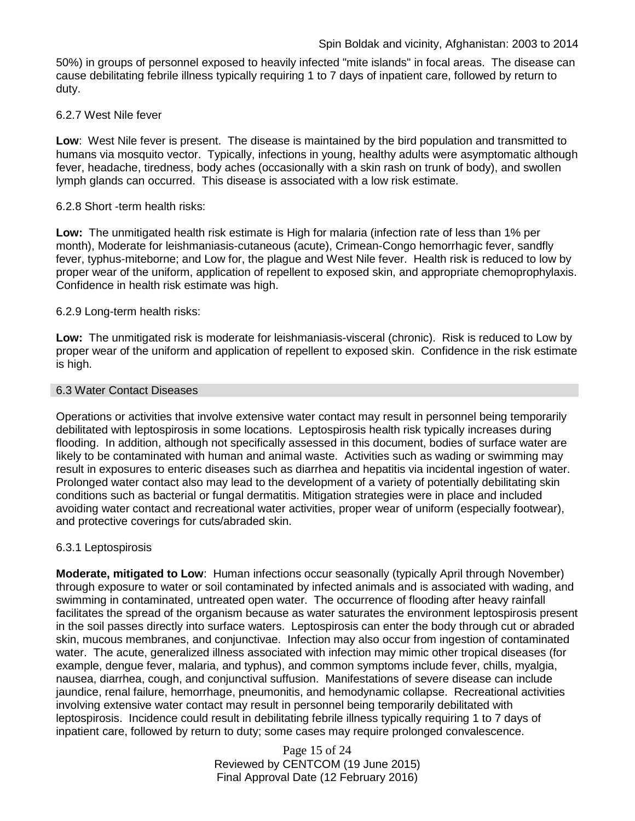50%) in groups of personnel exposed to heavily infected "mite islands" in focal areas. The disease can cause debilitating febrile illness typically requiring 1 to 7 days of inpatient care, followed by return to duty.

# 6.2.7 West Nile fever

**Low**: West Nile fever is present. The disease is maintained by the bird population and transmitted to humans via mosquito vector. Typically, infections in young, healthy adults were asymptomatic although fever, headache, tiredness, body aches (occasionally with a skin rash on trunk of body), and swollen lymph glands can occurred. This disease is associated with a low risk estimate.

# 6.2.8 Short -term health risks:

**Low:** The unmitigated health risk estimate is High for malaria (infection rate of less than 1% per month), Moderate for leishmaniasis-cutaneous (acute), Crimean-Congo hemorrhagic fever, sandfly fever, typhus-miteborne; and Low for, the plague and West Nile fever. Health risk is reduced to low by proper wear of the uniform, application of repellent to exposed skin, and appropriate chemoprophylaxis. Confidence in health risk estimate was high.

# 6.2.9 Long-term health risks:

**Low:** The unmitigated risk is moderate for leishmaniasis-visceral (chronic). Risk is reduced to Low by proper wear of the uniform and application of repellent to exposed skin. Confidence in the risk estimate is high.

#### 6.3 Water Contact Diseases

Operations or activities that involve extensive water contact may result in personnel being temporarily debilitated with leptospirosis in some locations. Leptospirosis health risk typically increases during flooding. In addition, although not specifically assessed in this document, bodies of surface water are likely to be contaminated with human and animal waste. Activities such as wading or swimming may result in exposures to enteric diseases such as diarrhea and hepatitis via incidental ingestion of water. Prolonged water contact also may lead to the development of a variety of potentially debilitating skin conditions such as bacterial or fungal dermatitis. Mitigation strategies were in place and included avoiding water contact and recreational water activities, proper wear of uniform (especially footwear), and protective coverings for cuts/abraded skin.

# 6.3.1 Leptospirosis

**Moderate, mitigated to Low**: Human infections occur seasonally (typically April through November) through exposure to water or soil contaminated by infected animals and is associated with wading, and swimming in contaminated, untreated open water. The occurrence of flooding after heavy rainfall facilitates the spread of the organism because as water saturates the environment leptospirosis present in the soil passes directly into surface waters. Leptospirosis can enter the body through cut or abraded skin, mucous membranes, and conjunctivae. Infection may also occur from ingestion of contaminated water. The acute, generalized illness associated with infection may mimic other tropical diseases (for example, dengue fever, malaria, and typhus), and common symptoms include fever, chills, myalgia, nausea, diarrhea, cough, and conjunctival suffusion. Manifestations of severe disease can include jaundice, renal failure, hemorrhage, pneumonitis, and hemodynamic collapse. Recreational activities involving extensive water contact may result in personnel being temporarily debilitated with leptospirosis. Incidence could result in debilitating febrile illness typically requiring 1 to 7 days of inpatient care, followed by return to duty; some cases may require prolonged convalescence.

> Page 15 of 24 Reviewed by CENTCOM (19 June 2015) Final Approval Date (12 February 2016)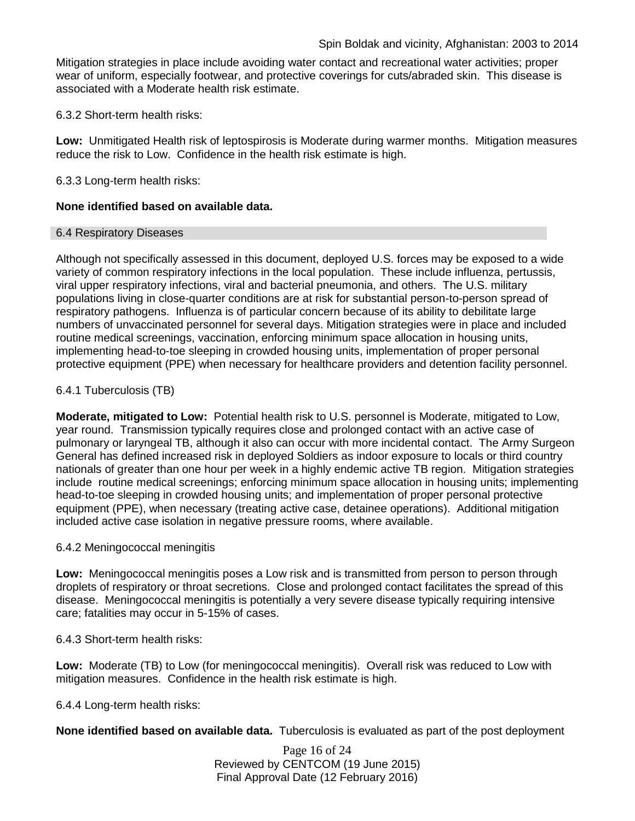Mitigation strategies in place include avoiding water contact and recreational water activities; proper wear of uniform, especially footwear, and protective coverings for cuts/abraded skin. This disease is associated with a Moderate health risk estimate.

6.3.2 Short-term health risks:

**Low:** Unmitigated Health risk of leptospirosis is Moderate during warmer months. Mitigation measures reduce the risk to Low. Confidence in the health risk estimate is high.

6.3.3 Long-term health risks:

# **None identified based on available data.**

#### 6.4 Respiratory Diseases

Although not specifically assessed in this document, deployed U.S. forces may be exposed to a wide variety of common respiratory infections in the local population. These include influenza, pertussis, viral upper respiratory infections, viral and bacterial pneumonia, and others. The U.S. military populations living in close-quarter conditions are at risk for substantial person-to-person spread of respiratory pathogens. Influenza is of particular concern because of its ability to debilitate large numbers of unvaccinated personnel for several days. Mitigation strategies were in place and included routine medical screenings, vaccination, enforcing minimum space allocation in housing units, implementing head-to-toe sleeping in crowded housing units, implementation of proper personal protective equipment (PPE) when necessary for healthcare providers and detention facility personnel.

# 6.4.1 Tuberculosis (TB)

**Moderate, mitigated to Low:** Potential health risk to U.S. personnel is Moderate, mitigated to Low, year round. Transmission typically requires close and prolonged contact with an active case of pulmonary or laryngeal TB, although it also can occur with more incidental contact. The Army Surgeon General has defined increased risk in deployed Soldiers as indoor exposure to locals or third country nationals of greater than one hour per week in a highly endemic active TB region. Mitigation strategies include routine medical screenings; enforcing minimum space allocation in housing units; implementing head-to-toe sleeping in crowded housing units; and implementation of proper personal protective equipment (PPE), when necessary (treating active case, detainee operations). Additional mitigation included active case isolation in negative pressure rooms, where available.

#### 6.4.2 Meningococcal meningitis

**Low:** Meningococcal meningitis poses a Low risk and is transmitted from person to person through droplets of respiratory or throat secretions. Close and prolonged contact facilitates the spread of this disease. Meningococcal meningitis is potentially a very severe disease typically requiring intensive care; fatalities may occur in 5-15% of cases.

6.4.3 Short-term health risks:

**Low:** Moderate (TB) to Low (for meningococcal meningitis). Overall risk was reduced to Low with mitigation measures. Confidence in the health risk estimate is high.

6.4.4 Long-term health risks:

**None identified based on available data.** Tuberculosis is evaluated as part of the post deployment

Page 16 of 24 Reviewed by CENTCOM (19 June 2015) Final Approval Date (12 February 2016)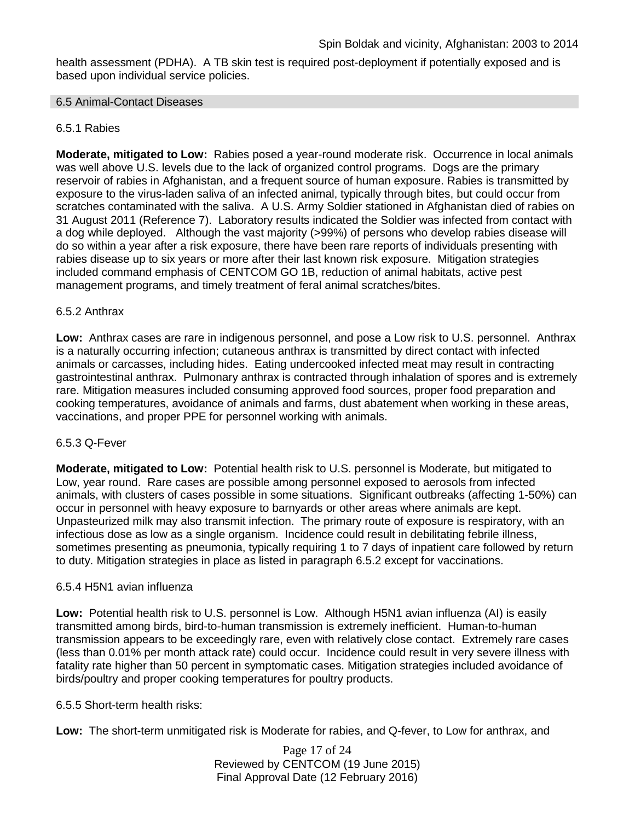health assessment (PDHA). A TB skin test is required post-deployment if potentially exposed and is based upon individual service policies.

#### 6.5 Animal-Contact Diseases

# 6.5.1 Rabies

**Moderate, mitigated to Low:** Rabies posed a year-round moderate risk. Occurrence in local animals was well above U.S. levels due to the lack of organized control programs. Dogs are the primary reservoir of rabies in Afghanistan, and a frequent source of human exposure. Rabies is transmitted by exposure to the virus-laden saliva of an infected animal, typically through bites, but could occur from scratches contaminated with the saliva. A U.S. Army Soldier stationed in Afghanistan died of rabies on 31 August 2011 (Reference 7). Laboratory results indicated the Soldier was infected from contact with a dog while deployed. Although the vast majority (>99%) of persons who develop rabies disease will do so within a year after a risk exposure, there have been rare reports of individuals presenting with rabies disease up to six years or more after their last known risk exposure. Mitigation strategies included command emphasis of CENTCOM GO 1B, reduction of animal habitats, active pest management programs, and timely treatment of feral animal scratches/bites.

#### 6.5.2 Anthrax

**Low:** Anthrax cases are rare in indigenous personnel, and pose a Low risk to U.S. personnel. Anthrax is a naturally occurring infection; cutaneous anthrax is transmitted by direct contact with infected animals or carcasses, including hides. Eating undercooked infected meat may result in contracting gastrointestinal anthrax. Pulmonary anthrax is contracted through inhalation of spores and is extremely rare. Mitigation measures included consuming approved food sources, proper food preparation and cooking temperatures, avoidance of animals and farms, dust abatement when working in these areas, vaccinations, and proper PPE for personnel working with animals.

#### 6.5.3 Q-Fever

**Moderate, mitigated to Low:** Potential health risk to U.S. personnel is Moderate, but mitigated to Low, year round. Rare cases are possible among personnel exposed to aerosols from infected animals, with clusters of cases possible in some situations. Significant outbreaks (affecting 1-50%) can occur in personnel with heavy exposure to barnyards or other areas where animals are kept. Unpasteurized milk may also transmit infection. The primary route of exposure is respiratory, with an infectious dose as low as a single organism. Incidence could result in debilitating febrile illness, sometimes presenting as pneumonia, typically requiring 1 to 7 days of inpatient care followed by return to duty. Mitigation strategies in place as listed in paragraph 6.5.2 except for vaccinations.

#### 6.5.4 H5N1 avian influenza

**Low:** Potential health risk to U.S. personnel is Low. Although H5N1 avian influenza (AI) is easily transmitted among birds, bird-to-human transmission is extremely inefficient. Human-to-human transmission appears to be exceedingly rare, even with relatively close contact. Extremely rare cases (less than 0.01% per month attack rate) could occur. Incidence could result in very severe illness with fatality rate higher than 50 percent in symptomatic cases. Mitigation strategies included avoidance of birds/poultry and proper cooking temperatures for poultry products.

#### 6.5.5 Short-term health risks:

**Low:** The short-term unmitigated risk is Moderate for rabies, and Q-fever, to Low for anthrax, and

Page 17 of 24 Reviewed by CENTCOM (19 June 2015) Final Approval Date (12 February 2016)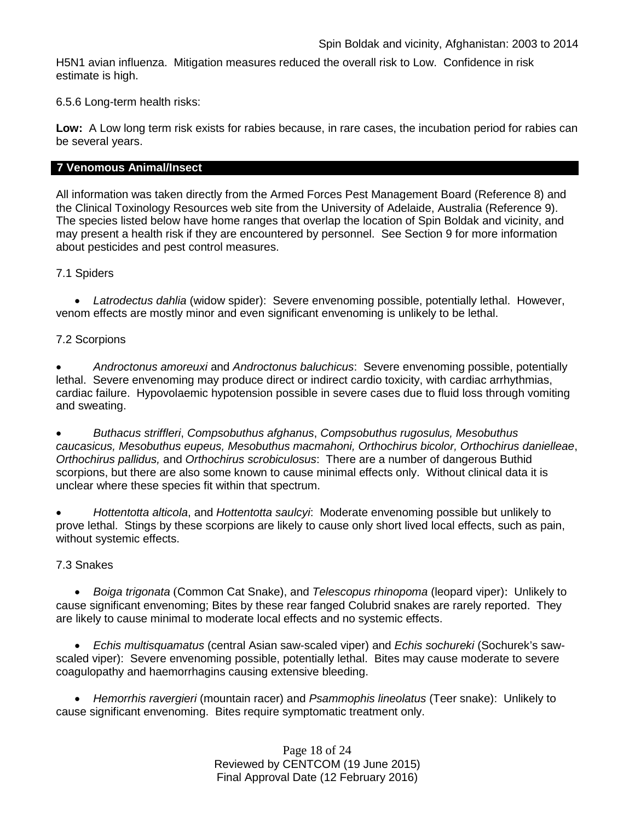H5N1 avian influenza. Mitigation measures reduced the overall risk to Low.Confidence in risk estimate is high.

6.5.6 Long-term health risks:

**Low:** A Low long term risk exists for rabies because, in rare cases, the incubation period for rabies can be several years.

# **7 Venomous Animal/Insect**

All information was taken directly from the Armed Forces Pest Management Board (Reference 8) and the Clinical Toxinology Resources web site from the University of Adelaide, Australia (Reference 9). The species listed below have home ranges that overlap the location of Spin Boldak and vicinity, and may present a health risk if they are encountered by personnel. See Section 9 for more information about pesticides and pest control measures.

# 7.1 Spiders

• *Latrodectus dahlia* (widow spider): Severe envenoming possible, potentially lethal. However, venom effects are mostly minor and even significant envenoming is unlikely to be lethal.

# 7.2 Scorpions

• *Androctonus amoreuxi* and *Androctonus baluchicus*: Severe envenoming possible, potentially lethal. Severe envenoming may produce direct or indirect cardio toxicity, with cardiac arrhythmias, cardiac failure. Hypovolaemic hypotension possible in severe cases due to fluid loss through vomiting and sweating.

• *Buthacus striffleri*, *Compsobuthus afghanus*, *Compsobuthus rugosulus, Mesobuthus caucasicus, Mesobuthus eupeus, Mesobuthus macmahoni, Orthochirus bicolor, Orthochirus danielleae*, *Orthochirus pallidus,* and *Orthochirus scrobiculosus*: There are a number of dangerous Buthid scorpions, but there are also some known to cause minimal effects only. Without clinical data it is unclear where these species fit within that spectrum.

• *Hottentotta alticola*, and *Hottentotta saulcyi*: Moderate envenoming possible but unlikely to prove lethal. Stings by these scorpions are likely to cause only short lived local effects, such as pain, without systemic effects.

# 7.3 Snakes

• *[Boiga](http://www.toxinology.com/fusebox.cfm?fuseaction=main.snakes.display&id=SN0722) [trigonata](http://www.toxinology.com/fusebox.cfm?fuseaction=main.snakes.display&id=SN0722)* (Common Cat Snake), and *Telescopus rhinopoma* (leopard viper): Unlikely to cause significant envenoming; Bites by these rear fanged Colubrid snakes are rarely reported. They are likely to cause minimal to moderate local effects and no systemic effects.

• *Echis multisquamatus* (central Asian saw-scaled viper) and *Echis sochureki* (Sochurek's sawscaled viper): Severe envenoming possible, potentially lethal. Bites may cause moderate to severe coagulopathy and haemorrhagins causing extensive bleeding.

• *Hemorrhis ravergieri* (mountain racer) and *Psammophis lineolatus* (Teer snake): Unlikely to cause significant envenoming. Bites require symptomatic treatment only.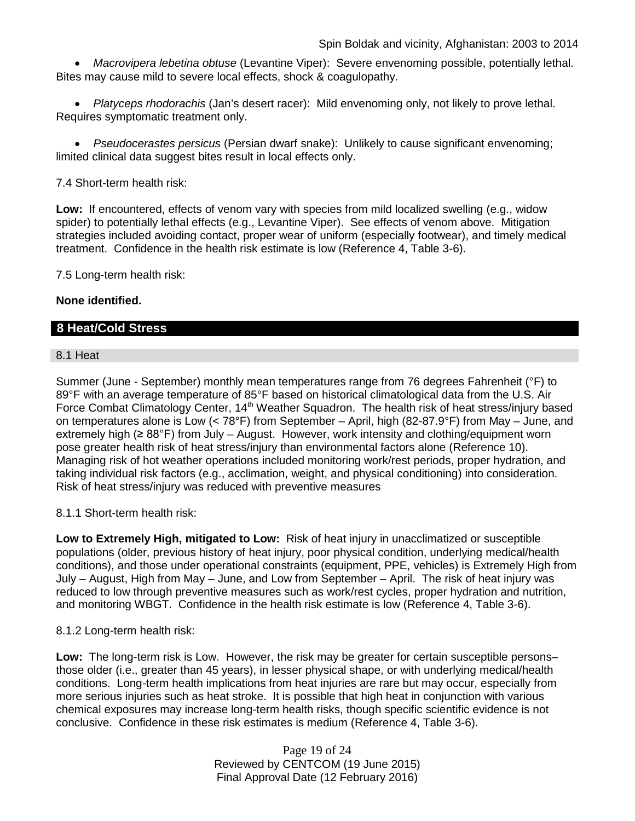• *Macrovipera lebetina obtuse* (Levantine Viper): Severe envenoming possible, potentially lethal. Bites may cause mild to severe local effects, shock & coagulopathy.

• *Platyceps rhodorachis* (Jan's desert racer): Mild envenoming only, not likely to prove lethal. Requires symptomatic treatment only.

• *Pseudocerastes persicus* (Persian dwarf snake): Unlikely to cause significant envenoming; limited clinical data suggest bites result in local effects only.

7.4 Short-term health risk:

**Low:** If encountered, effects of venom vary with species from mild localized swelling (e.g., widow spider) to potentially lethal effects (e.g., Levantine Viper). See effects of venom above. Mitigation strategies included avoiding contact, proper wear of uniform (especially footwear), and timely medical treatment. Confidence in the health risk estimate is low (Reference 4, Table 3-6).

7.5 Long-term health risk:

# **None identified.**

# **8 Heat/Cold Stress**

#### 8.1 Heat

Summer (June - September) monthly mean temperatures range from 76 degrees Fahrenheit (°F) to 89°F with an average temperature of 85°F based on historical climatological data from the U.S. Air Force Combat Climatology Center, 14<sup>th</sup> Weather Squadron. The health risk of heat stress/injury based on temperatures alone is Low (< 78°F) from September – April, high (82-87.9°F) from May – June, and extremely high ( $\geq 88^{\circ}$ F) from July – August. However, work intensity and clothing/equipment worn pose greater health risk of heat stress/injury than environmental factors alone (Reference 10). Managing risk of hot weather operations included monitoring work/rest periods, proper hydration, and taking individual risk factors (e.g., acclimation, weight, and physical conditioning) into consideration. Risk of heat stress/injury was reduced with preventive measures

# 8.1.1 Short-term health risk:

**Low to Extremely High, mitigated to Low:** Risk of heat injury in unacclimatized or susceptible populations (older, previous history of heat injury, poor physical condition, underlying medical/health conditions), and those under operational constraints (equipment, PPE, vehicles) is Extremely High from July – August, High from May – June, and Low from September – April. The risk of heat injury was reduced to low through preventive measures such as work/rest cycles, proper hydration and nutrition, and monitoring WBGT. Confidence in the health risk estimate is low (Reference 4, Table 3-6).

#### 8.1.2 Long-term health risk:

**Low:** The long-term risk is Low. However, the risk may be greater for certain susceptible persons– those older (i.e., greater than 45 years), in lesser physical shape, or with underlying medical/health conditions. Long-term health implications from heat injuries are rare but may occur, especially from more serious injuries such as heat stroke. It is possible that high heat in conjunction with various chemical exposures may increase long-term health risks, though specific scientific evidence is not conclusive. Confidence in these risk estimates is medium (Reference 4, Table 3-6).

> Page 19 of 24 Reviewed by CENTCOM (19 June 2015) Final Approval Date (12 February 2016)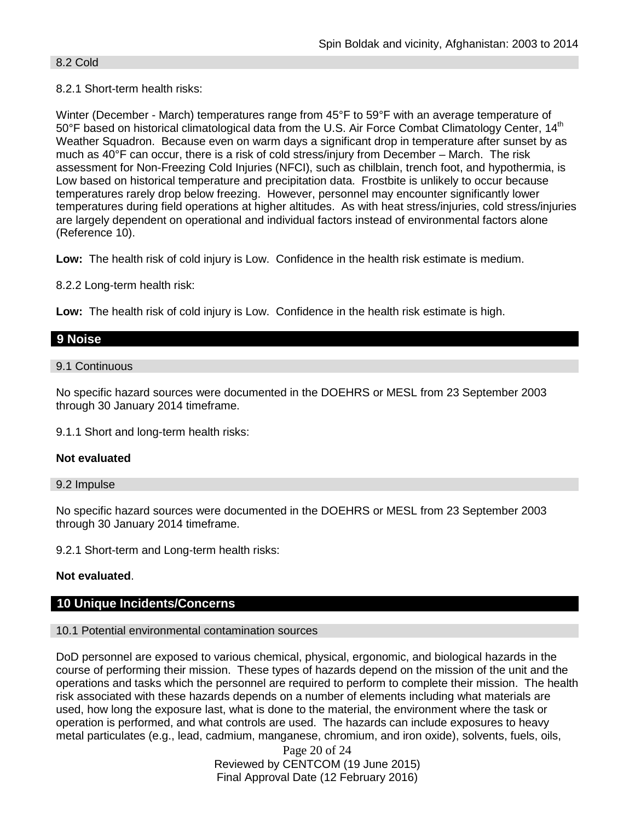#### 8.2 Cold

# 8.2.1 Short-term health risks:

Winter (December - March) temperatures range from 45°F to 59°F with an average temperature of  $50^{\circ}$ F based on historical climatological data from the U.S. Air Force Combat Climatology Center, 14<sup>th</sup> Weather Squadron. Because even on warm days a significant drop in temperature after sunset by as much as 40°F can occur, there is a risk of cold stress/injury from December – March. The risk assessment for Non-Freezing Cold Injuries (NFCI), such as chilblain, trench foot, and hypothermia, is Low based on historical temperature and precipitation data. Frostbite is unlikely to occur because temperatures rarely drop below freezing. However, personnel may encounter significantly lower temperatures during field operations at higher altitudes. As with heat stress/injuries, cold stress/injuries are largely dependent on operational and individual factors instead of environmental factors alone (Reference 10).

**Low:** The health risk of cold injury is Low. Confidence in the health risk estimate is medium.

8.2.2 Long-term health risk:

**Low:** The health risk of cold injury is Low. Confidence in the health risk estimate is high.

# **9 Noise**

9.1 Continuous

No specific hazard sources were documented in the DOEHRS or MESL from 23 September 2003 through 30 January 2014 timeframe.

9.1.1 Short and long-term health risks:

#### **Not evaluated**

#### 9.2 Impulse

No specific hazard sources were documented in the DOEHRS or MESL from 23 September 2003 through 30 January 2014 timeframe.

9.2.1 Short-term and Long-term health risks:

# **Not evaluated**.

# **10 Unique Incidents/Concerns**

#### 10.1 Potential environmental contamination sources

DoD personnel are exposed to various chemical, physical, ergonomic, and biological hazards in the course of performing their mission. These types of hazards depend on the mission of the unit and the operations and tasks which the personnel are required to perform to complete their mission. The health risk associated with these hazards depends on a number of elements including what materials are used, how long the exposure last, what is done to the material, the environment where the task or operation is performed, and what controls are used. The hazards can include exposures to heavy metal particulates (e.g., lead, cadmium, manganese, chromium, and iron oxide), solvents, fuels, oils,

> Page 20 of 24 Reviewed by CENTCOM (19 June 2015) Final Approval Date (12 February 2016)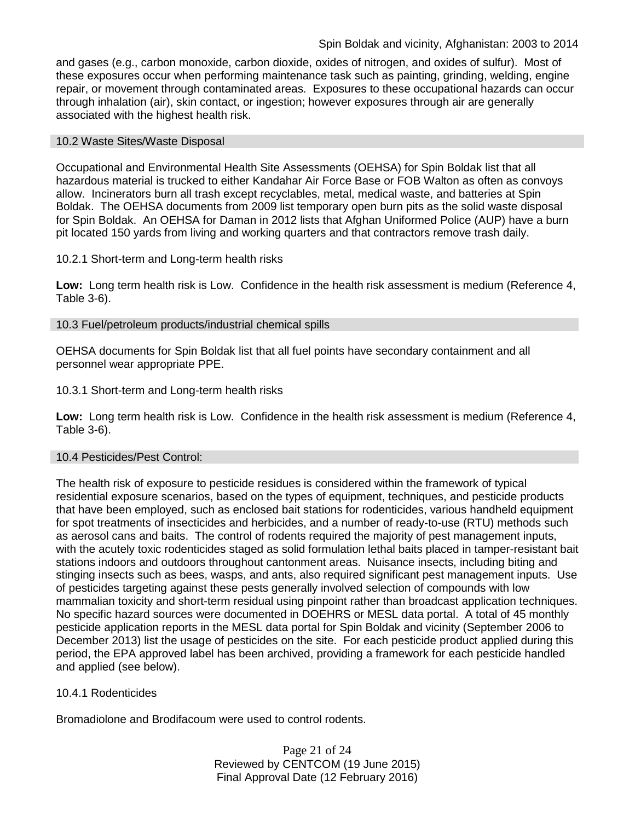and gases (e.g., carbon monoxide, carbon dioxide, oxides of nitrogen, and oxides of sulfur). Most of these exposures occur when performing maintenance task such as painting, grinding, welding, engine repair, or movement through contaminated areas. Exposures to these occupational hazards can occur through inhalation (air), skin contact, or ingestion; however exposures through air are generally associated with the highest health risk.

#### 10.2 Waste Sites/Waste Disposal

Occupational and Environmental Health Site Assessments (OEHSA) for Spin Boldak list that all hazardous material is trucked to either Kandahar Air Force Base or FOB Walton as often as convoys allow. Incinerators burn all trash except recyclables, metal, medical waste, and batteries at Spin Boldak. The OEHSA documents from 2009 list temporary open burn pits as the solid waste disposal for Spin Boldak. An OEHSA for Daman in 2012 lists that Afghan Uniformed Police (AUP) have a burn pit located 150 yards from living and working quarters and that contractors remove trash daily.

#### 10.2.1 Short-term and Long-term health risks

Low: Long term health risk is Low. Confidence in the health risk assessment is medium (Reference 4, Table 3-6).

#### 10.3 Fuel/petroleum products/industrial chemical spills

OEHSA documents for Spin Boldak list that all fuel points have secondary containment and all personnel wear appropriate PPE.

#### 10.3.1 Short-term and Long-term health risks

**Low:** Long term health risk is Low. Confidence in the health risk assessment is medium (Reference 4, Table 3-6).

#### 10.4 Pesticides/Pest Control:

The health risk of exposure to pesticide residues is considered within the framework of typical residential exposure scenarios, based on the types of equipment, techniques, and pesticide products that have been employed, such as enclosed bait stations for rodenticides, various handheld equipment for spot treatments of insecticides and herbicides, and a number of ready-to-use (RTU) methods such as aerosol cans and baits. The control of rodents required the majority of pest management inputs, with the acutely toxic rodenticides staged as solid formulation lethal baits placed in tamper-resistant bait stations indoors and outdoors throughout cantonment areas. Nuisance insects, including biting and stinging insects such as bees, wasps, and ants, also required significant pest management inputs. Use of pesticides targeting against these pests generally involved selection of compounds with low mammalian toxicity and short-term residual using pinpoint rather than broadcast application techniques. No specific hazard sources were documented in DOEHRS or MESL data portal. A total of 45 monthly pesticide application reports in the MESL data portal for Spin Boldak and vicinity (September 2006 to December 2013) list the usage of pesticides on the site. For each pesticide product applied during this period, the EPA approved label has been archived, providing a framework for each pesticide handled and applied (see below).

#### 10.4.1 Rodenticides

Bromadiolone and Brodifacoum were used to control rodents.

Page 21 of 24 Reviewed by CENTCOM (19 June 2015) Final Approval Date (12 February 2016)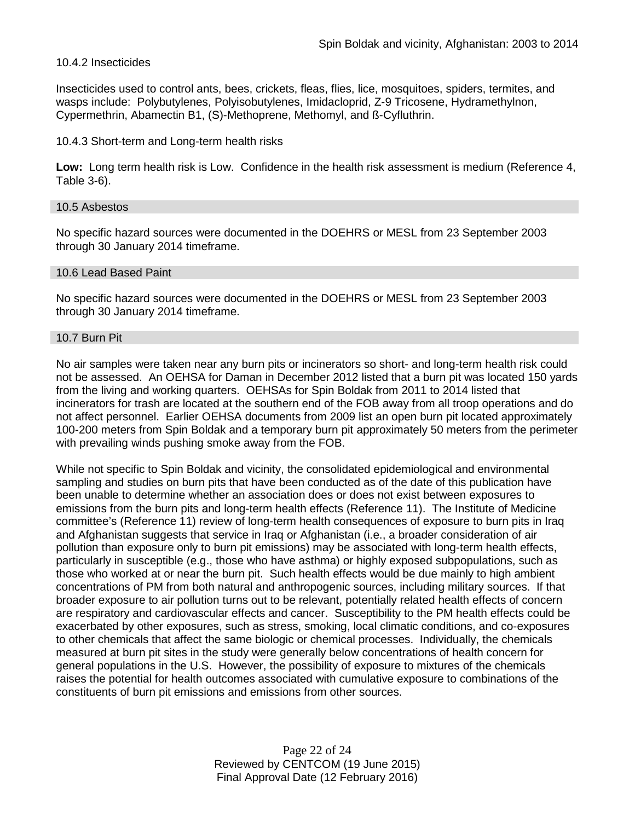# 10.4.2 Insecticides

Insecticides used to control ants, bees, crickets, fleas, flies, lice, mosquitoes, spiders, termites, and wasps include: Polybutylenes, Polyisobutylenes, Imidacloprid, Z-9 Tricosene, Hydramethylnon, Cypermethrin, Abamectin B1, (S)-Methoprene, Methomyl, and ß-Cyfluthrin.

#### 10.4.3 Short-term and Long-term health risks

**Low:** Long term health risk is Low. Confidence in the health risk assessment is medium (Reference 4, Table 3-6).

#### 10.5 Asbestos

No specific hazard sources were documented in the DOEHRS or MESL from 23 September 2003 through 30 January 2014 timeframe.

#### 10.6 Lead Based Paint

No specific hazard sources were documented in the DOEHRS or MESL from 23 September 2003 through 30 January 2014 timeframe.

#### 10.7 Burn Pit

No air samples were taken near any burn pits or incinerators so short- and long-term health risk could not be assessed. An OEHSA for Daman in December 2012 listed that a burn pit was located 150 yards from the living and working quarters. OEHSAs for Spin Boldak from 2011 to 2014 listed that incinerators for trash are located at the southern end of the FOB away from all troop operations and do not affect personnel. Earlier OEHSA documents from 2009 list an open burn pit located approximately 100-200 meters from Spin Boldak and a temporary burn pit approximately 50 meters from the perimeter with prevailing winds pushing smoke away from the FOB.

While not specific to Spin Boldak and vicinity, the consolidated epidemiological and environmental sampling and studies on burn pits that have been conducted as of the date of this publication have been unable to determine whether an association does or does not exist between exposures to emissions from the burn pits and long-term health effects (Reference 11). The Institute of Medicine committee's (Reference 11) review of long-term health consequences of exposure to burn pits in Iraq and Afghanistan suggests that service in Iraq or Afghanistan (i.e., a broader consideration of air pollution than exposure only to burn pit emissions) may be associated with long-term health effects, particularly in susceptible (e.g., those who have asthma) or highly exposed subpopulations, such as those who worked at or near the burn pit. Such health effects would be due mainly to high ambient concentrations of PM from both natural and anthropogenic sources, including military sources. If that broader exposure to air pollution turns out to be relevant, potentially related health effects of concern are respiratory and cardiovascular effects and cancer. Susceptibility to the PM health effects could be exacerbated by other exposures, such as stress, smoking, local climatic conditions, and co-exposures to other chemicals that affect the same biologic or chemical processes. Individually, the chemicals measured at burn pit sites in the study were generally below concentrations of health concern for general populations in the U.S. However, the possibility of exposure to mixtures of the chemicals raises the potential for health outcomes associated with cumulative exposure to combinations of the constituents of burn pit emissions and emissions from other sources.

> Page 22 of 24 Reviewed by CENTCOM (19 June 2015) Final Approval Date (12 February 2016)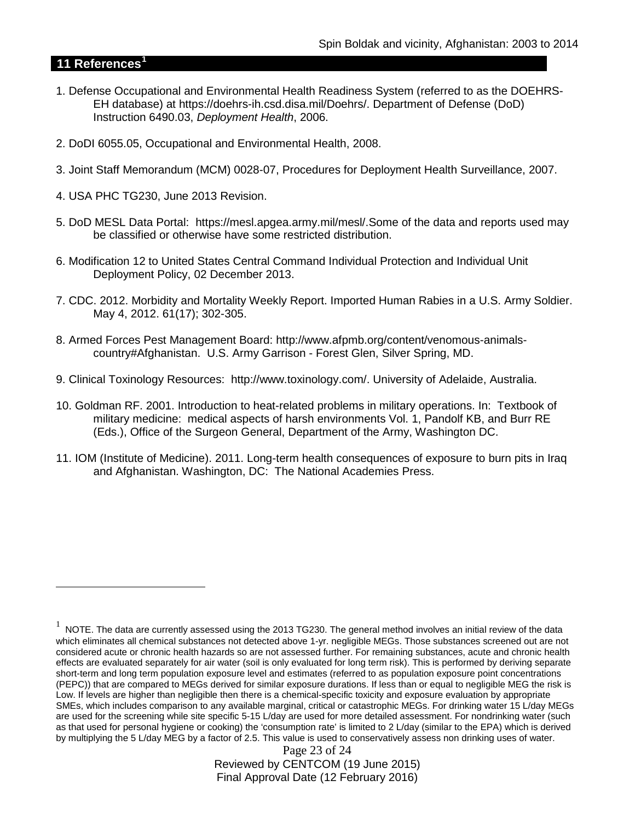# **11 References[1](#page-22-0)**

 $\overline{a}$ 

- 1. Defense Occupational and Environmental Health Readiness System (referred to as the DOEHRS-EH database) at https://doehrs-ih.csd.disa.mil/Doehrs/. Department of Defense (DoD) Instruction 6490.03, *Deployment Health*, 2006.
- 2. DoDI 6055.05, Occupational and Environmental Health, 2008.
- 3. Joint Staff Memorandum (MCM) 0028-07, Procedures for Deployment Health Surveillance, 2007.
- 4. USA PHC TG230, June 2013 Revision.
- 5. DoD MESL Data Portal: https://mesl.apgea.army.mil/mesl/.Some of the data and reports used may be classified or otherwise have some restricted distribution.
- 6. Modification 12 to United States Central Command Individual Protection and Individual Unit Deployment Policy, 02 December 2013.
- 7. CDC. 2012. Morbidity and Mortality Weekly Report. Imported Human Rabies in a U.S. Army Soldier. May 4, 2012. 61(17); 302-305.
- 8. Armed Forces Pest Management Board: http://www.afpmb.org/content/venomous-animalscountry#Afghanistan. U.S. Army Garrison - Forest Glen, Silver Spring, MD.
- 9. Clinical Toxinology Resources: http://www.toxinology.com/. University of Adelaide, Australia.
- 10. Goldman RF. 2001. Introduction to heat-related problems in military operations. In: Textbook of military medicine: medical aspects of harsh environments Vol. 1, Pandolf KB, and Burr RE (Eds.), Office of the Surgeon General, Department of the Army, Washington DC.
- 11. IOM (Institute of Medicine). 2011. Long-term health consequences of exposure to burn pits in Iraq and Afghanistan. Washington, DC: The National Academies Press.

Page 23 of 24 Reviewed by CENTCOM (19 June 2015) Final Approval Date (12 February 2016)

<span id="page-22-0"></span> $1$  NOTE. The data are currently assessed using the 2013 TG230. The general method involves an initial review of the data which eliminates all chemical substances not detected above 1-yr. negligible MEGs. Those substances screened out are not considered acute or chronic health hazards so are not assessed further. For remaining substances, acute and chronic health effects are evaluated separately for air water (soil is only evaluated for long term risk). This is performed by deriving separate short-term and long term population exposure level and estimates (referred to as population exposure point concentrations (PEPC)) that are compared to MEGs derived for similar exposure durations. If less than or equal to negligible MEG the risk is Low. If levels are higher than negligible then there is a chemical-specific toxicity and exposure evaluation by appropriate SMEs, which includes comparison to any available marginal, critical or catastrophic MEGs. For drinking water 15 L/day MEGs are used for the screening while site specific 5-15 L/day are used for more detailed assessment. For nondrinking water (such as that used for personal hygiene or cooking) the 'consumption rate' is limited to 2 L/day (similar to the EPA) which is derived by multiplying the 5 L/day MEG by a factor of 2.5. This value is used to conservatively assess non drinking uses of water.